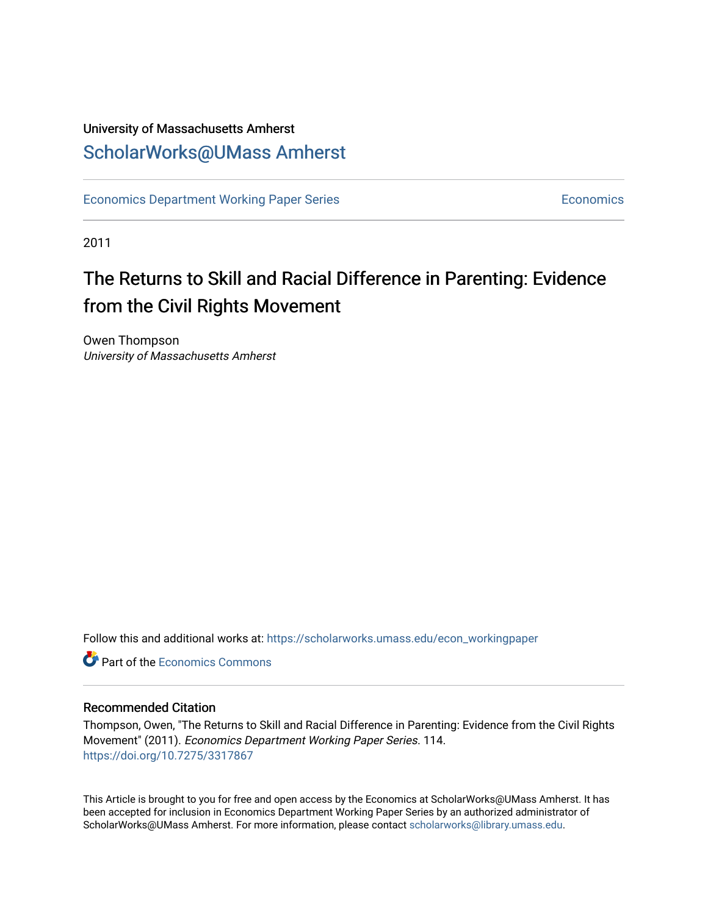### University of Massachusetts Amherst [ScholarWorks@UMass Amherst](https://scholarworks.umass.edu/)

[Economics Department Working Paper Series](https://scholarworks.umass.edu/econ_workingpaper) **Economics** [Economics](https://scholarworks.umass.edu/economics) Economics

2011

## The Returns to Skill and Racial Difference in Parenting: Evidence from the Civil Rights Movement

Owen Thompson University of Massachusetts Amherst

Follow this and additional works at: [https://scholarworks.umass.edu/econ\\_workingpaper](https://scholarworks.umass.edu/econ_workingpaper?utm_source=scholarworks.umass.edu%2Fecon_workingpaper%2F114&utm_medium=PDF&utm_campaign=PDFCoverPages) 

**C** Part of the [Economics Commons](http://network.bepress.com/hgg/discipline/340?utm_source=scholarworks.umass.edu%2Fecon_workingpaper%2F114&utm_medium=PDF&utm_campaign=PDFCoverPages)

#### Recommended Citation

Thompson, Owen, "The Returns to Skill and Racial Difference in Parenting: Evidence from the Civil Rights Movement" (2011). Economics Department Working Paper Series. 114. <https://doi.org/10.7275/3317867>

This Article is brought to you for free and open access by the Economics at ScholarWorks@UMass Amherst. It has been accepted for inclusion in Economics Department Working Paper Series by an authorized administrator of ScholarWorks@UMass Amherst. For more information, please contact [scholarworks@library.umass.edu.](mailto:scholarworks@library.umass.edu)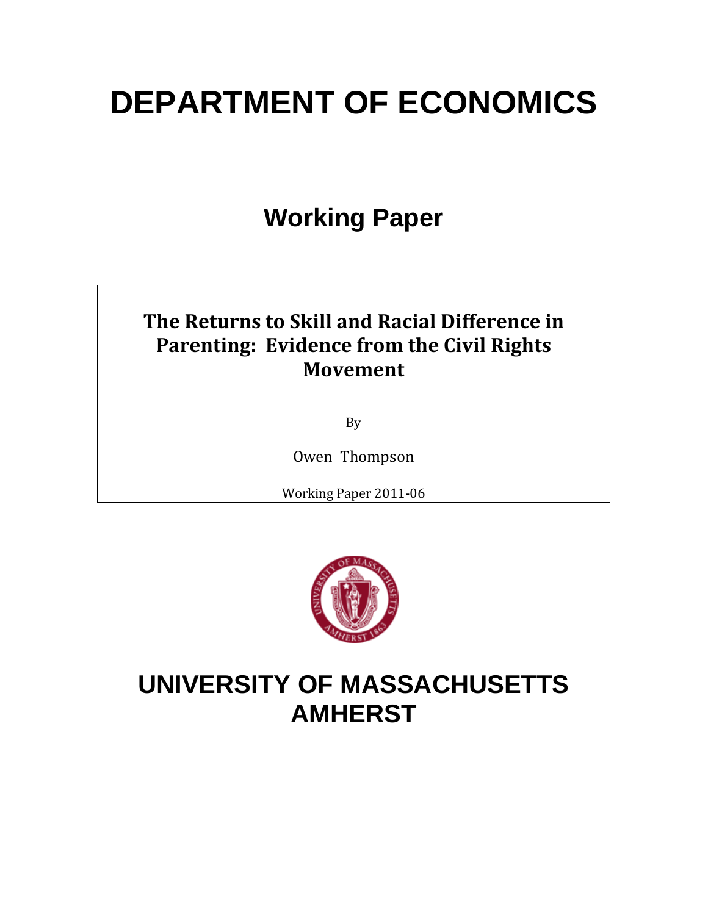# **DEPARTMENT OF ECONOMICS**

## **Working Paper**

### **The Returns to Skill and Racial Difference in Parenting: Evidence from the Civil Rights Movement**

By

Owen Thompson

Working Paper 2011‐06



## **UNIVERSITY OF MASSACHUSETTS AMHERST**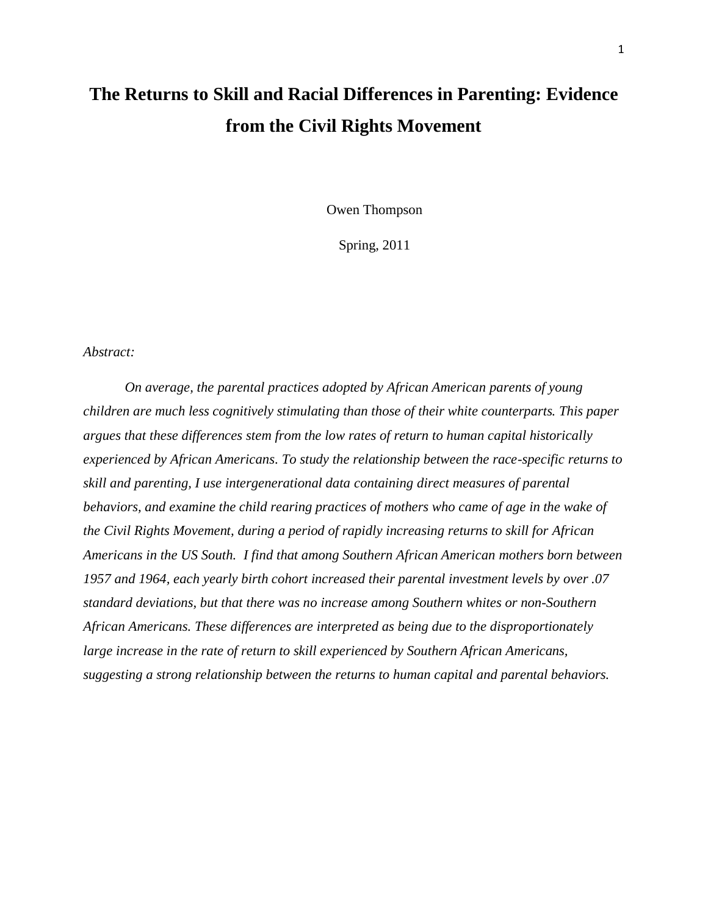## **The Returns to Skill and Racial Differences in Parenting: Evidence from the Civil Rights Movement**

Owen Thompson

Spring, 2011

#### *Abstract:*

*On average, the parental practices adopted by African American parents of young children are much less cognitively stimulating than those of their white counterparts. This paper argues that these differences stem from the low rates of return to human capital historically experienced by African Americans. To study the relationship between the race-specific returns to skill and parenting, I use intergenerational data containing direct measures of parental*  behaviors, and examine the child rearing practices of mothers who came of age in the wake of *the Civil Rights Movement, during a period of rapidly increasing returns to skill for African Americans in the US South. I find that among Southern African American mothers born between 1957 and 1964, each yearly birth cohort increased their parental investment levels by over .07 standard deviations, but that there was no increase among Southern whites or non-Southern African Americans. These differences are interpreted as being due to the disproportionately large increase in the rate of return to skill experienced by Southern African Americans, suggesting a strong relationship between the returns to human capital and parental behaviors.*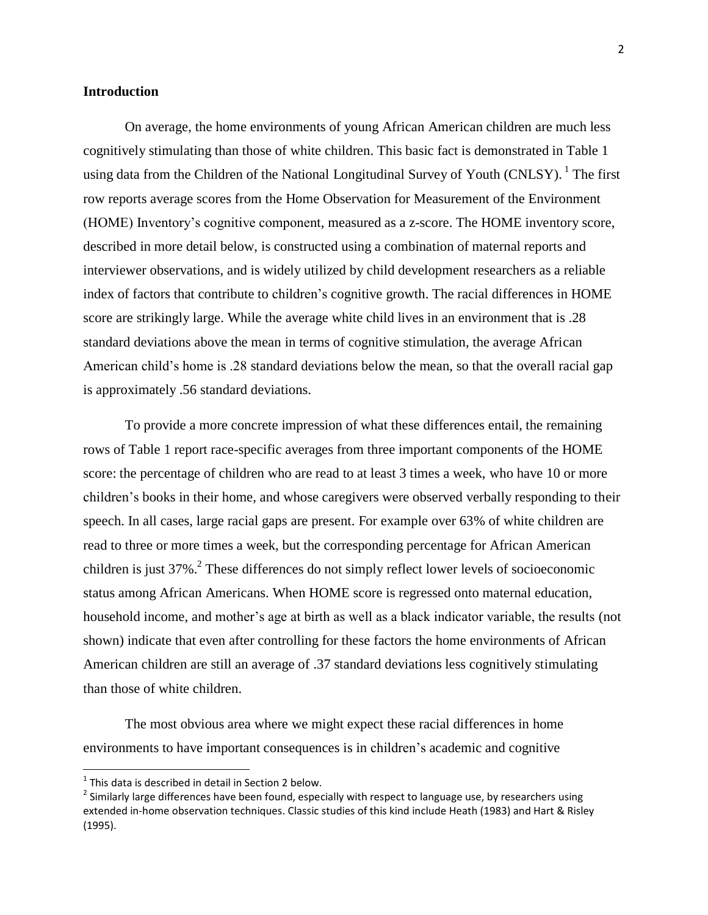#### **Introduction**

On average, the home environments of young African American children are much less cognitively stimulating than those of white children. This basic fact is demonstrated in Table 1 using data from the Children of the National Longitudinal Survey of Youth (CNLSY). <sup>1</sup> The first row reports average scores from the Home Observation for Measurement of the Environment (HOME) Inventory's cognitive component, measured as a z-score. The HOME inventory score, described in more detail below, is constructed using a combination of maternal reports and interviewer observations, and is widely utilized by child development researchers as a reliable index of factors that contribute to children's cognitive growth. The racial differences in HOME score are strikingly large. While the average white child lives in an environment that is .28 standard deviations above the mean in terms of cognitive stimulation, the average African American child's home is .28 standard deviations below the mean, so that the overall racial gap is approximately .56 standard deviations.

To provide a more concrete impression of what these differences entail, the remaining rows of Table 1 report race-specific averages from three important components of the HOME score: the percentage of children who are read to at least 3 times a week, who have 10 or more children's books in their home, and whose caregivers were observed verbally responding to their speech. In all cases, large racial gaps are present. For example over 63% of white children are read to three or more times a week, but the corresponding percentage for African American children is just  $37\%$ <sup>2</sup>. These differences do not simply reflect lower levels of socioeconomic status among African Americans. When HOME score is regressed onto maternal education, household income, and mother's age at birth as well as a black indicator variable, the results (not shown) indicate that even after controlling for these factors the home environments of African American children are still an average of .37 standard deviations less cognitively stimulating than those of white children.

The most obvious area where we might expect these racial differences in home environments to have important consequences is in children's academic and cognitive

 $\overline{a}$ 

 $1$  This data is described in detail in Section 2 below.

 $^2$  Similarly large differences have been found, especially with respect to language use, by researchers using extended in-home observation techniques. Classic studies of this kind include Heath (1983) and Hart & Risley (1995).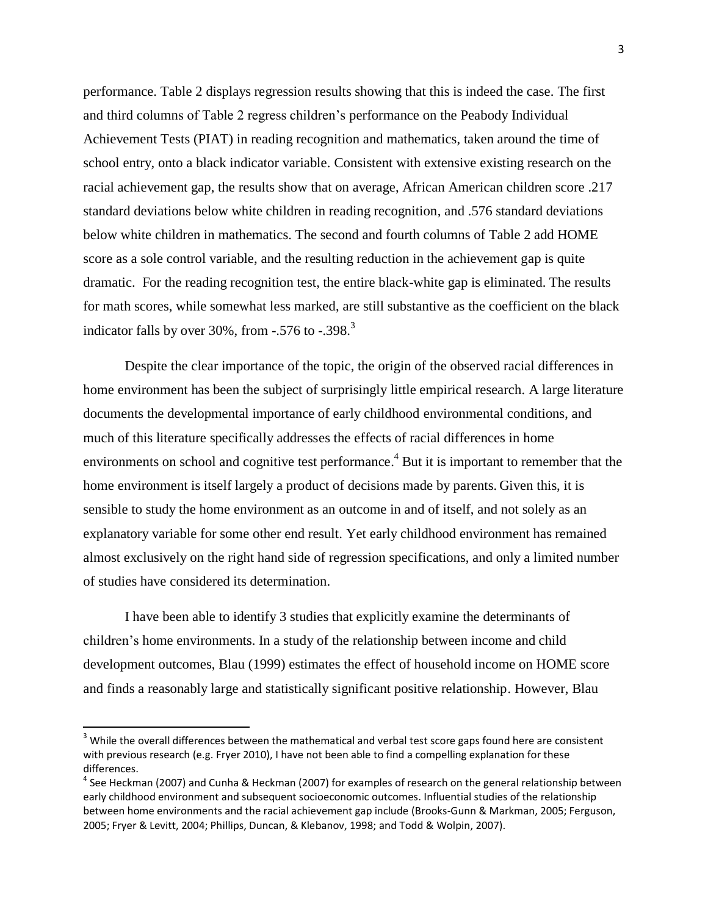performance. Table 2 displays regression results showing that this is indeed the case. The first and third columns of Table 2 regress children's performance on the Peabody Individual Achievement Tests (PIAT) in reading recognition and mathematics, taken around the time of school entry, onto a black indicator variable. Consistent with extensive existing research on the racial achievement gap, the results show that on average, African American children score .217 standard deviations below white children in reading recognition, and .576 standard deviations below white children in mathematics. The second and fourth columns of Table 2 add HOME score as a sole control variable, and the resulting reduction in the achievement gap is quite dramatic. For the reading recognition test, the entire black-white gap is eliminated. The results for math scores, while somewhat less marked, are still substantive as the coefficient on the black indicator falls by over 30%, from  $-0.576$  to  $-0.398$ .

Despite the clear importance of the topic, the origin of the observed racial differences in home environment has been the subject of surprisingly little empirical research. A large literature documents the developmental importance of early childhood environmental conditions, and much of this literature specifically addresses the effects of racial differences in home environments on school and cognitive test performance.<sup>4</sup> But it is important to remember that the home environment is itself largely a product of decisions made by parents. Given this, it is sensible to study the home environment as an outcome in and of itself, and not solely as an explanatory variable for some other end result. Yet early childhood environment has remained almost exclusively on the right hand side of regression specifications, and only a limited number of studies have considered its determination.

I have been able to identify 3 studies that explicitly examine the determinants of children's home environments. In a study of the relationship between income and child development outcomes, Blau (1999) estimates the effect of household income on HOME score and finds a reasonably large and statistically significant positive relationship. However, Blau

l

<sup>&</sup>lt;sup>3</sup> While the overall differences between the mathematical and verbal test score gaps found here are consistent with previous research (e.g. Fryer 2010), I have not been able to find a compelling explanation for these differences.

<sup>&</sup>lt;sup>4</sup> See Heckman (2007) and Cunha & Heckman (2007) for examples of research on the general relationship between early childhood environment and subsequent socioeconomic outcomes. Influential studies of the relationship between home environments and the racial achievement gap include (Brooks-Gunn & Markman, 2005; Ferguson, 2005; Fryer & Levitt, 2004; Phillips, Duncan, & Klebanov, 1998; and Todd & Wolpin, 2007).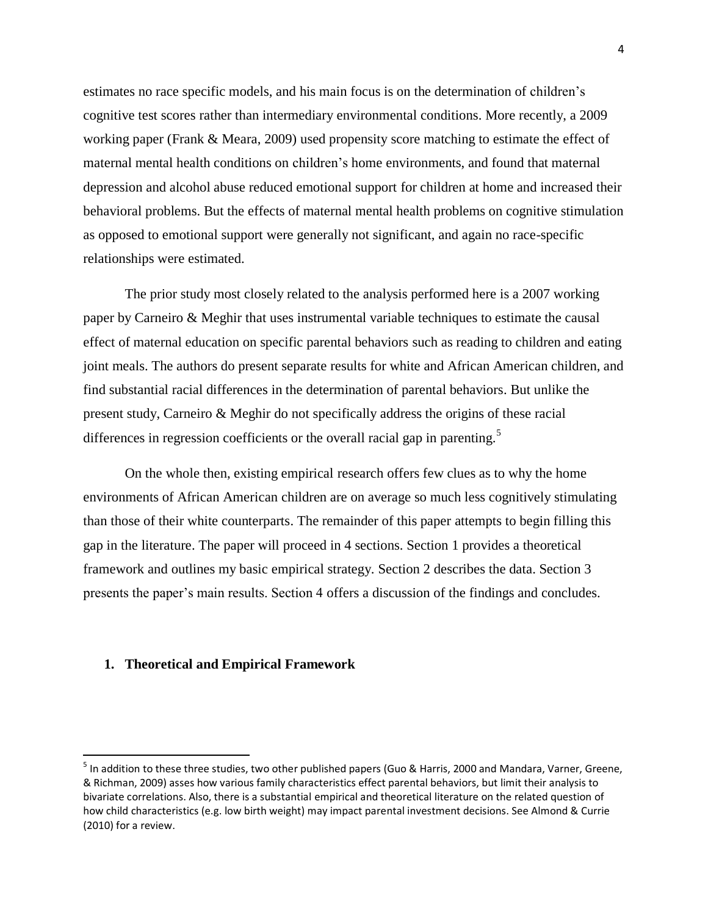estimates no race specific models, and his main focus is on the determination of children's cognitive test scores rather than intermediary environmental conditions. More recently, a 2009 working paper (Frank & Meara, 2009) used propensity score matching to estimate the effect of maternal mental health conditions on children's home environments, and found that maternal depression and alcohol abuse reduced emotional support for children at home and increased their behavioral problems. But the effects of maternal mental health problems on cognitive stimulation as opposed to emotional support were generally not significant, and again no race-specific relationships were estimated.

The prior study most closely related to the analysis performed here is a 2007 working paper by Carneiro & Meghir that uses instrumental variable techniques to estimate the causal effect of maternal education on specific parental behaviors such as reading to children and eating joint meals. The authors do present separate results for white and African American children, and find substantial racial differences in the determination of parental behaviors. But unlike the present study, Carneiro & Meghir do not specifically address the origins of these racial differences in regression coefficients or the overall racial gap in parenting.<sup>5</sup>

On the whole then, existing empirical research offers few clues as to why the home environments of African American children are on average so much less cognitively stimulating than those of their white counterparts. The remainder of this paper attempts to begin filling this gap in the literature. The paper will proceed in 4 sections. Section 1 provides a theoretical framework and outlines my basic empirical strategy. Section 2 describes the data. Section 3 presents the paper's main results. Section 4 offers a discussion of the findings and concludes.

#### **1. Theoretical and Empirical Framework**

l

<sup>&</sup>lt;sup>5</sup> In addition to these three studies, two other published papers (Guo & Harris, 2000 and Mandara, Varner, Greene, & Richman, 2009) asses how various family characteristics effect parental behaviors, but limit their analysis to bivariate correlations. Also, there is a substantial empirical and theoretical literature on the related question of how child characteristics (e.g. low birth weight) may impact parental investment decisions. See Almond & Currie (2010) for a review.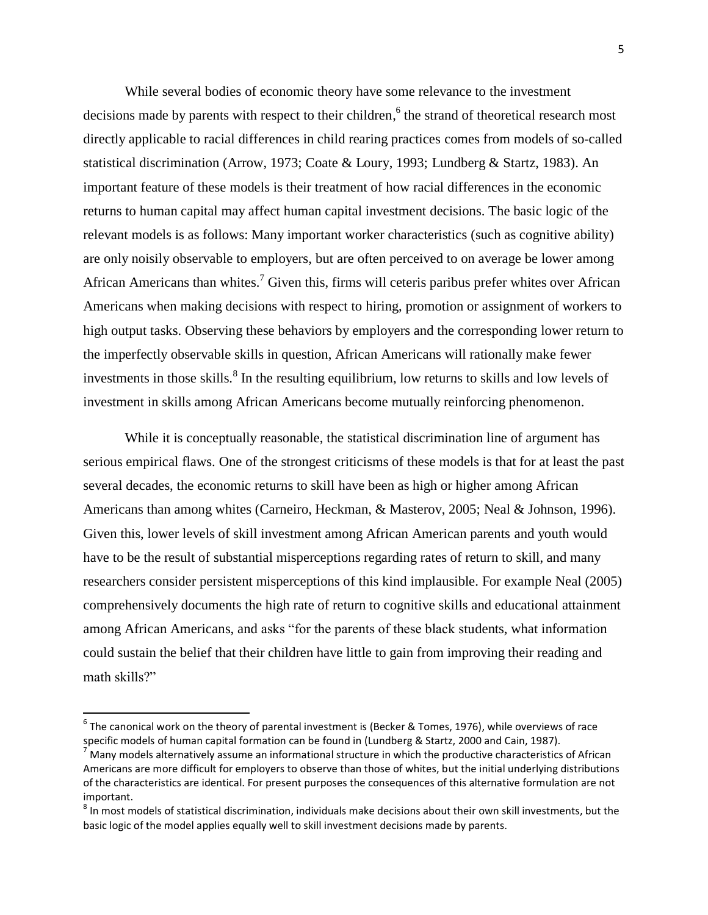While several bodies of economic theory have some relevance to the investment decisions made by parents with respect to their children,<sup>6</sup> the strand of theoretical research most directly applicable to racial differences in child rearing practices comes from models of so-called statistical discrimination (Arrow, 1973; Coate & Loury, 1993; Lundberg & Startz, 1983). An important feature of these models is their treatment of how racial differences in the economic returns to human capital may affect human capital investment decisions. The basic logic of the relevant models is as follows: Many important worker characteristics (such as cognitive ability) are only noisily observable to employers, but are often perceived to on average be lower among African Americans than whites.<sup>7</sup> Given this, firms will ceteris paribus prefer whites over African Americans when making decisions with respect to hiring, promotion or assignment of workers to high output tasks. Observing these behaviors by employers and the corresponding lower return to the imperfectly observable skills in question, African Americans will rationally make fewer investments in those skills.<sup>8</sup> In the resulting equilibrium, low returns to skills and low levels of investment in skills among African Americans become mutually reinforcing phenomenon.

While it is conceptually reasonable, the statistical discrimination line of argument has serious empirical flaws. One of the strongest criticisms of these models is that for at least the past several decades, the economic returns to skill have been as high or higher among African Americans than among whites (Carneiro, Heckman, & Masterov, 2005; Neal & Johnson, 1996). Given this, lower levels of skill investment among African American parents and youth would have to be the result of substantial misperceptions regarding rates of return to skill, and many researchers consider persistent misperceptions of this kind implausible. For example Neal (2005) comprehensively documents the high rate of return to cognitive skills and educational attainment among African Americans, and asks "for the parents of these black students, what information could sustain the belief that their children have little to gain from improving their reading and math skills?"

 6 The canonical work on the theory of parental investment is (Becker & Tomes, 1976), while overviews of race specific models of human capital formation can be found in (Lundberg & Startz, 2000 and Cain, 1987).

 $<sup>7</sup>$  Many models alternatively assume an informational structure in which the productive characteristics of African</sup> Americans are more difficult for employers to observe than those of whites, but the initial underlying distributions of the characteristics are identical. For present purposes the consequences of this alternative formulation are not important.

 $^8$  In most models of statistical discrimination, individuals make decisions about their own skill investments, but the basic logic of the model applies equally well to skill investment decisions made by parents.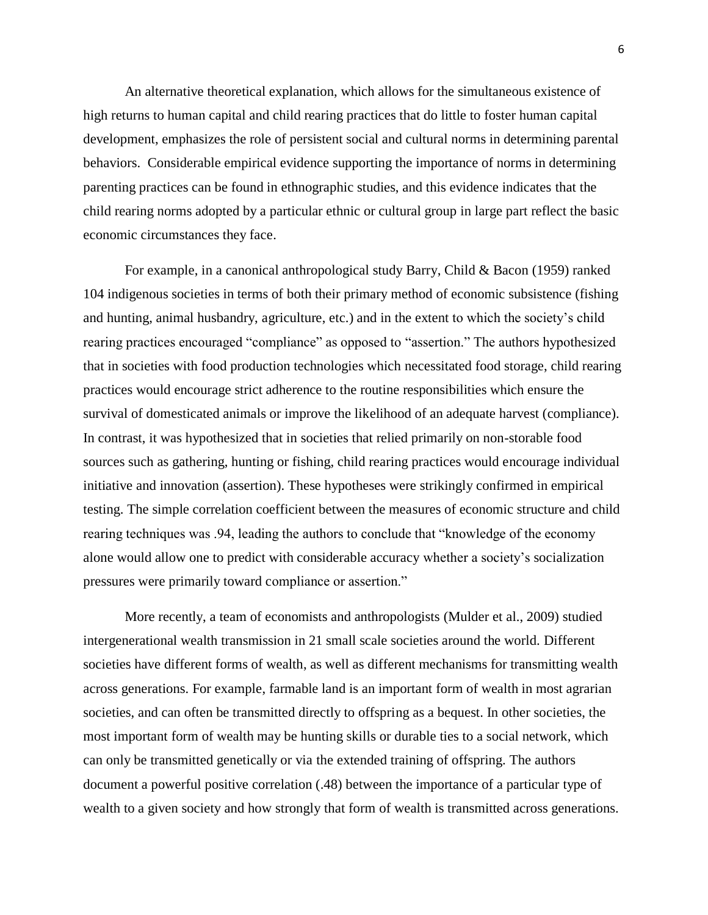An alternative theoretical explanation, which allows for the simultaneous existence of high returns to human capital and child rearing practices that do little to foster human capital development, emphasizes the role of persistent social and cultural norms in determining parental behaviors. Considerable empirical evidence supporting the importance of norms in determining parenting practices can be found in ethnographic studies, and this evidence indicates that the child rearing norms adopted by a particular ethnic or cultural group in large part reflect the basic economic circumstances they face.

For example, in a canonical anthropological study Barry, Child & Bacon (1959) ranked 104 indigenous societies in terms of both their primary method of economic subsistence (fishing and hunting, animal husbandry, agriculture, etc.) and in the extent to which the society's child rearing practices encouraged "compliance" as opposed to "assertion." The authors hypothesized that in societies with food production technologies which necessitated food storage, child rearing practices would encourage strict adherence to the routine responsibilities which ensure the survival of domesticated animals or improve the likelihood of an adequate harvest (compliance). In contrast, it was hypothesized that in societies that relied primarily on non-storable food sources such as gathering, hunting or fishing, child rearing practices would encourage individual initiative and innovation (assertion). These hypotheses were strikingly confirmed in empirical testing. The simple correlation coefficient between the measures of economic structure and child rearing techniques was .94, leading the authors to conclude that "knowledge of the economy alone would allow one to predict with considerable accuracy whether a society's socialization pressures were primarily toward compliance or assertion."

More recently, a team of economists and anthropologists (Mulder et al., 2009) studied intergenerational wealth transmission in 21 small scale societies around the world. Different societies have different forms of wealth, as well as different mechanisms for transmitting wealth across generations. For example, farmable land is an important form of wealth in most agrarian societies, and can often be transmitted directly to offspring as a bequest. In other societies, the most important form of wealth may be hunting skills or durable ties to a social network, which can only be transmitted genetically or via the extended training of offspring. The authors document a powerful positive correlation (.48) between the importance of a particular type of wealth to a given society and how strongly that form of wealth is transmitted across generations.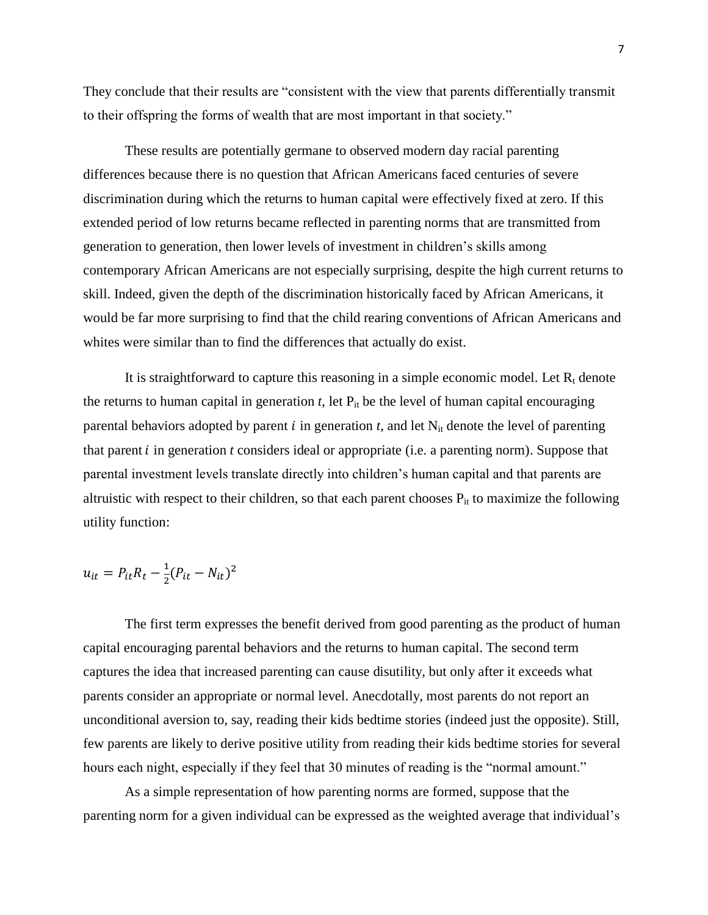They conclude that their results are "consistent with the view that parents differentially transmit to their offspring the forms of wealth that are most important in that society."

These results are potentially germane to observed modern day racial parenting differences because there is no question that African Americans faced centuries of severe discrimination during which the returns to human capital were effectively fixed at zero. If this extended period of low returns became reflected in parenting norms that are transmitted from generation to generation, then lower levels of investment in children's skills among contemporary African Americans are not especially surprising, despite the high current returns to skill. Indeed, given the depth of the discrimination historically faced by African Americans, it would be far more surprising to find that the child rearing conventions of African Americans and whites were similar than to find the differences that actually do exist.

It is straightforward to capture this reasoning in a simple economic model. Let  $R_t$  denote the returns to human capital in generation  $t$ , let  $P_{it}$  be the level of human capital encouraging parental behaviors adopted by parent  $i$  in generation  $t$ , and let  $N_{it}$  denote the level of parenting that parent  $i$  in generation  $t$  considers ideal or appropriate (i.e. a parenting norm). Suppose that parental investment levels translate directly into children's human capital and that parents are altruistic with respect to their children, so that each parent chooses  $P_{it}$  to maximize the following utility function:

$$
u_{it} = P_{it}R_t - \frac{1}{2}(P_{it} - N_{it})^2
$$

The first term expresses the benefit derived from good parenting as the product of human capital encouraging parental behaviors and the returns to human capital. The second term captures the idea that increased parenting can cause disutility, but only after it exceeds what parents consider an appropriate or normal level. Anecdotally, most parents do not report an unconditional aversion to, say, reading their kids bedtime stories (indeed just the opposite). Still, few parents are likely to derive positive utility from reading their kids bedtime stories for several hours each night, especially if they feel that 30 minutes of reading is the "normal amount."

As a simple representation of how parenting norms are formed, suppose that the parenting norm for a given individual can be expressed as the weighted average that individual's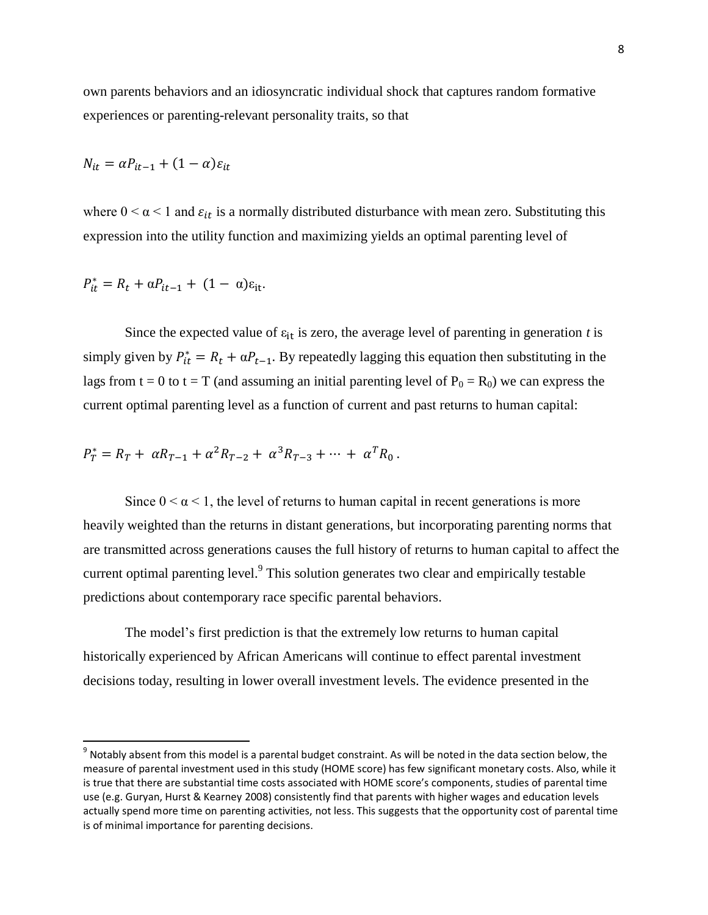own parents behaviors and an idiosyncratic individual shock that captures random formative experiences or parenting-relevant personality traits, so that

$$
N_{it} = \alpha P_{it-1} + (1 - \alpha) \varepsilon_{it}
$$

where  $0 \le \alpha \le 1$  and  $\varepsilon_{it}$  is a normally distributed disturbance with mean zero. Substituting this expression into the utility function and maximizing yields an optimal parenting level of

$$
P_{it}^* = R_t + \alpha P_{it-1} + (1 - \alpha)\varepsilon_{it}.
$$

 $\overline{a}$ 

Since the expected value of  $\varepsilon_{it}$  is zero, the average level of parenting in generation *t* is simply given by  $P_{it}^* = R_t + \alpha P_{t-1}$ . By repeatedly lagging this equation then substituting in the lags from t = 0 to t = T (and assuming an initial parenting level of  $P_0 = R_0$ ) we can express the current optimal parenting level as a function of current and past returns to human capital:

$$
P_T^* = R_T + \alpha R_{T-1} + \alpha^2 R_{T-2} + \alpha^3 R_{T-3} + \dots + \alpha^T R_0.
$$

Since  $0 \le \alpha \le 1$ , the level of returns to human capital in recent generations is more heavily weighted than the returns in distant generations, but incorporating parenting norms that are transmitted across generations causes the full history of returns to human capital to affect the current optimal parenting level. $9$  This solution generates two clear and empirically testable predictions about contemporary race specific parental behaviors.

The model's first prediction is that the extremely low returns to human capital historically experienced by African Americans will continue to effect parental investment decisions today, resulting in lower overall investment levels. The evidence presented in the

 $^9$  Notably absent from this model is a parental budget constraint. As will be noted in the data section below, the measure of parental investment used in this study (HOME score) has few significant monetary costs. Also, while it is true that there are substantial time costs associated with HOME score's components, studies of parental time use (e.g. Guryan, Hurst & Kearney 2008) consistently find that parents with higher wages and education levels actually spend more time on parenting activities, not less. This suggests that the opportunity cost of parental time is of minimal importance for parenting decisions.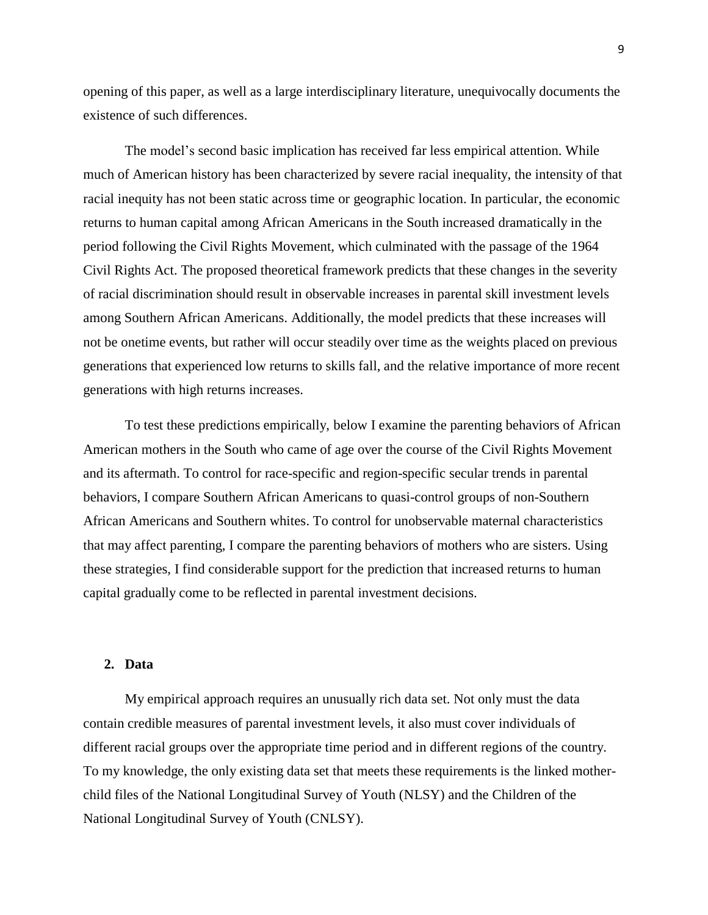opening of this paper, as well as a large interdisciplinary literature, unequivocally documents the existence of such differences.

The model's second basic implication has received far less empirical attention. While much of American history has been characterized by severe racial inequality, the intensity of that racial inequity has not been static across time or geographic location. In particular, the economic returns to human capital among African Americans in the South increased dramatically in the period following the Civil Rights Movement, which culminated with the passage of the 1964 Civil Rights Act. The proposed theoretical framework predicts that these changes in the severity of racial discrimination should result in observable increases in parental skill investment levels among Southern African Americans. Additionally, the model predicts that these increases will not be onetime events, but rather will occur steadily over time as the weights placed on previous generations that experienced low returns to skills fall, and the relative importance of more recent generations with high returns increases.

To test these predictions empirically, below I examine the parenting behaviors of African American mothers in the South who came of age over the course of the Civil Rights Movement and its aftermath. To control for race-specific and region-specific secular trends in parental behaviors, I compare Southern African Americans to quasi-control groups of non-Southern African Americans and Southern whites. To control for unobservable maternal characteristics that may affect parenting, I compare the parenting behaviors of mothers who are sisters. Using these strategies, I find considerable support for the prediction that increased returns to human capital gradually come to be reflected in parental investment decisions.

#### **2. Data**

My empirical approach requires an unusually rich data set. Not only must the data contain credible measures of parental investment levels, it also must cover individuals of different racial groups over the appropriate time period and in different regions of the country. To my knowledge, the only existing data set that meets these requirements is the linked motherchild files of the National Longitudinal Survey of Youth (NLSY) and the Children of the National Longitudinal Survey of Youth (CNLSY).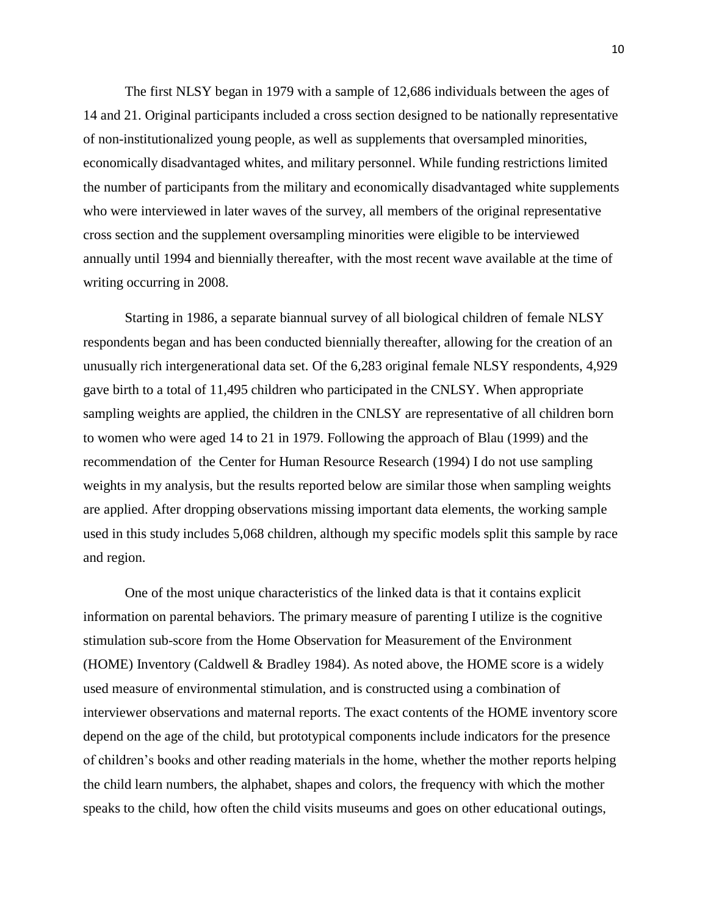The first NLSY began in 1979 with a sample of 12,686 individuals between the ages of 14 and 21. Original participants included a cross section designed to be nationally representative of non-institutionalized young people, as well as supplements that oversampled minorities, economically disadvantaged whites, and military personnel. While funding restrictions limited the number of participants from the military and economically disadvantaged white supplements who were interviewed in later waves of the survey, all members of the original representative cross section and the supplement oversampling minorities were eligible to be interviewed annually until 1994 and biennially thereafter, with the most recent wave available at the time of writing occurring in 2008.

Starting in 1986, a separate biannual survey of all biological children of female NLSY respondents began and has been conducted biennially thereafter, allowing for the creation of an unusually rich intergenerational data set. Of the 6,283 original female NLSY respondents, 4,929 gave birth to a total of 11,495 children who participated in the CNLSY. When appropriate sampling weights are applied, the children in the CNLSY are representative of all children born to women who were aged 14 to 21 in 1979. Following the approach of Blau (1999) and the recommendation of the Center for Human Resource Research (1994) I do not use sampling weights in my analysis, but the results reported below are similar those when sampling weights are applied. After dropping observations missing important data elements, the working sample used in this study includes 5,068 children, although my specific models split this sample by race and region.

One of the most unique characteristics of the linked data is that it contains explicit information on parental behaviors. The primary measure of parenting I utilize is the cognitive stimulation sub-score from the Home Observation for Measurement of the Environment (HOME) Inventory (Caldwell  $\&$  Bradley 1984). As noted above, the HOME score is a widely used measure of environmental stimulation, and is constructed using a combination of interviewer observations and maternal reports. The exact contents of the HOME inventory score depend on the age of the child, but prototypical components include indicators for the presence of children's books and other reading materials in the home, whether the mother reports helping the child learn numbers, the alphabet, shapes and colors, the frequency with which the mother speaks to the child, how often the child visits museums and goes on other educational outings,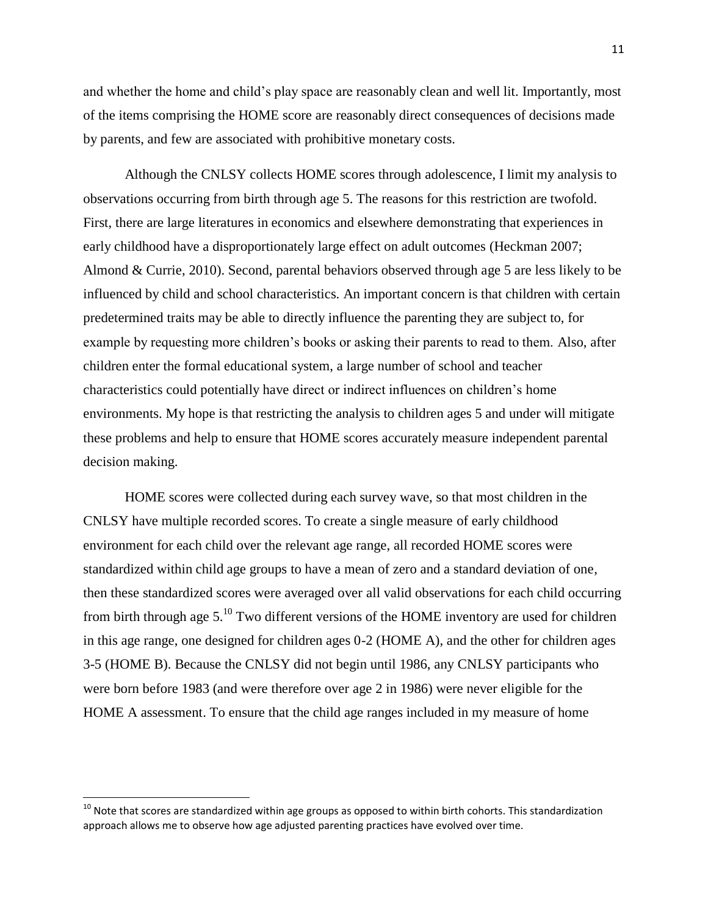and whether the home and child's play space are reasonably clean and well lit. Importantly, most of the items comprising the HOME score are reasonably direct consequences of decisions made by parents, and few are associated with prohibitive monetary costs.

Although the CNLSY collects HOME scores through adolescence, I limit my analysis to observations occurring from birth through age 5. The reasons for this restriction are twofold. First, there are large literatures in economics and elsewhere demonstrating that experiences in early childhood have a disproportionately large effect on adult outcomes (Heckman 2007; Almond & Currie, 2010). Second, parental behaviors observed through age 5 are less likely to be influenced by child and school characteristics. An important concern is that children with certain predetermined traits may be able to directly influence the parenting they are subject to, for example by requesting more children's books or asking their parents to read to them. Also, after children enter the formal educational system, a large number of school and teacher characteristics could potentially have direct or indirect influences on children's home environments. My hope is that restricting the analysis to children ages 5 and under will mitigate these problems and help to ensure that HOME scores accurately measure independent parental decision making.

HOME scores were collected during each survey wave, so that most children in the CNLSY have multiple recorded scores. To create a single measure of early childhood environment for each child over the relevant age range, all recorded HOME scores were standardized within child age groups to have a mean of zero and a standard deviation of one, then these standardized scores were averaged over all valid observations for each child occurring from birth through age  $5^{10}$ . Two different versions of the HOME inventory are used for children in this age range, one designed for children ages 0-2 (HOME A), and the other for children ages 3-5 (HOME B). Because the CNLSY did not begin until 1986, any CNLSY participants who were born before 1983 (and were therefore over age 2 in 1986) were never eligible for the HOME A assessment. To ensure that the child age ranges included in my measure of home

 $\overline{a}$ 

 $10$  Note that scores are standardized within age groups as opposed to within birth cohorts. This standardization approach allows me to observe how age adjusted parenting practices have evolved over time.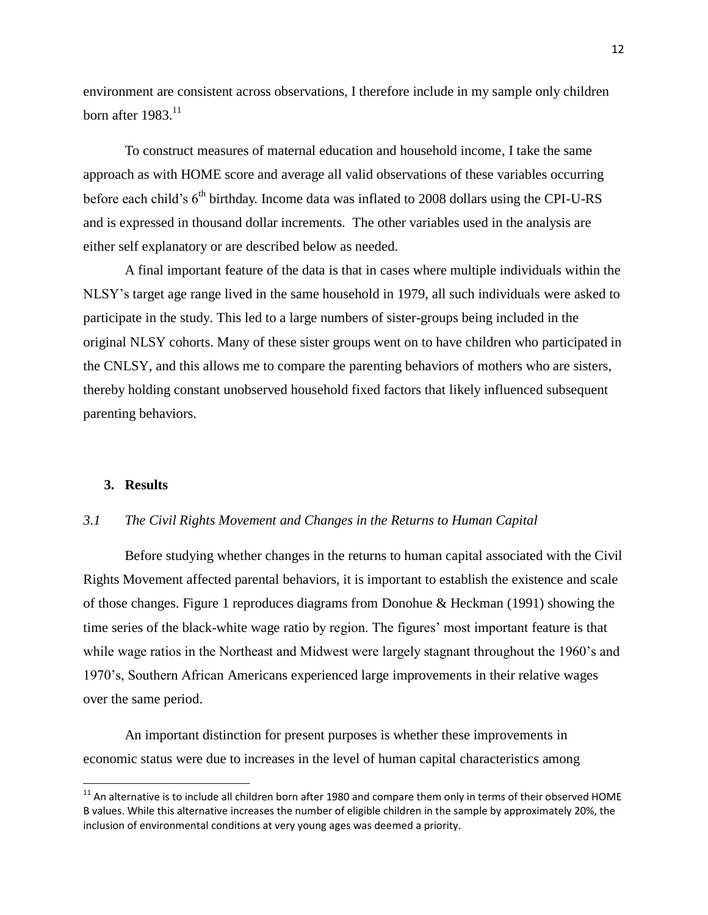environment are consistent across observations, I therefore include in my sample only children born after  $1983$ .<sup>11</sup>

To construct measures of maternal education and household income, I take the same approach as with HOME score and average all valid observations of these variables occurring before each child's  $6<sup>th</sup>$  birthday. Income data was inflated to 2008 dollars using the CPI-U-RS and is expressed in thousand dollar increments. The other variables used in the analysis are either self explanatory or are described below as needed.

A final important feature of the data is that in cases where multiple individuals within the NLSY's target age range lived in the same household in 1979, all such individuals were asked to participate in the study. This led to a large numbers of sister-groups being included in the original NLSY cohorts. Many of these sister groups went on to have children who participated in the CNLSY, and this allows me to compare the parenting behaviors of mothers who are sisters, thereby holding constant unobserved household fixed factors that likely influenced subsequent parenting behaviors.

#### **3. Results**

l

#### *3.1 The Civil Rights Movement and Changes in the Returns to Human Capital*

Before studying whether changes in the returns to human capital associated with the Civil Rights Movement affected parental behaviors, it is important to establish the existence and scale of those changes. Figure 1 reproduces diagrams from Donohue & Heckman (1991) showing the time series of the black-white wage ratio by region. The figures' most important feature is that while wage ratios in the Northeast and Midwest were largely stagnant throughout the 1960's and 1970's, Southern African Americans experienced large improvements in their relative wages over the same period.

An important distinction for present purposes is whether these improvements in economic status were due to increases in the level of human capital characteristics among

 $11$  An alternative is to include all children born after 1980 and compare them only in terms of their observed HOME B values. While this alternative increases the number of eligible children in the sample by approximately 20%, the inclusion of environmental conditions at very young ages was deemed a priority.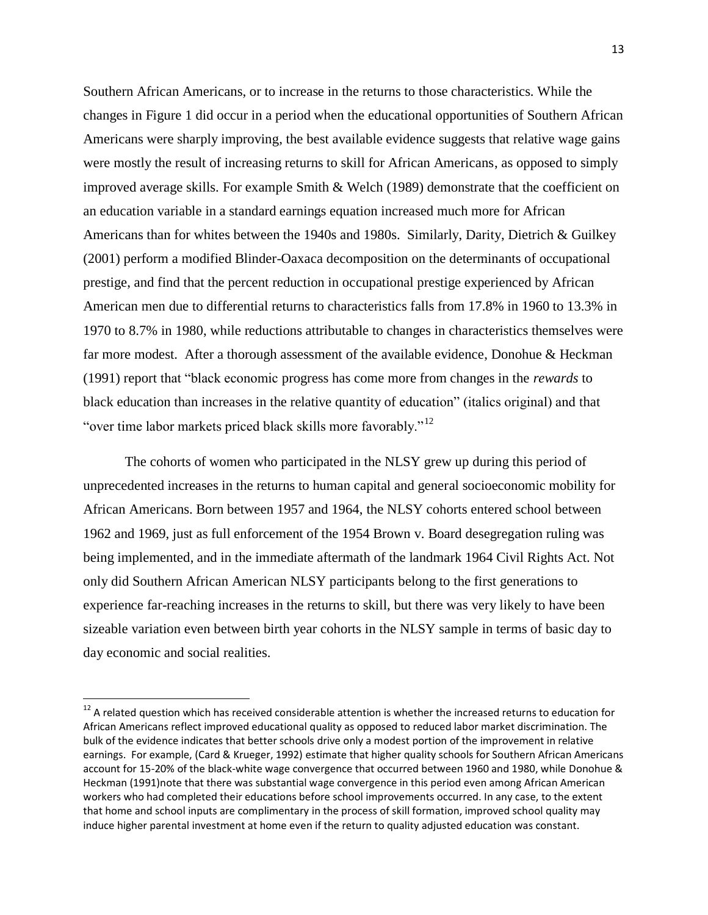Southern African Americans, or to increase in the returns to those characteristics. While the changes in Figure 1 did occur in a period when the educational opportunities of Southern African Americans were sharply improving, the best available evidence suggests that relative wage gains were mostly the result of increasing returns to skill for African Americans, as opposed to simply improved average skills. For example Smith & Welch (1989) demonstrate that the coefficient on an education variable in a standard earnings equation increased much more for African Americans than for whites between the 1940s and 1980s. Similarly, Darity, Dietrich & Guilkey (2001) perform a modified Blinder-Oaxaca decomposition on the determinants of occupational prestige, and find that the percent reduction in occupational prestige experienced by African American men due to differential returns to characteristics falls from 17.8% in 1960 to 13.3% in 1970 to 8.7% in 1980, while reductions attributable to changes in characteristics themselves were far more modest. After a thorough assessment of the available evidence, Donohue & Heckman (1991) report that "black economic progress has come more from changes in the *rewards* to black education than increases in the relative quantity of education" (italics original) and that "over time labor markets priced black skills more favorably."<sup>12</sup>

The cohorts of women who participated in the NLSY grew up during this period of unprecedented increases in the returns to human capital and general socioeconomic mobility for African Americans. Born between 1957 and 1964, the NLSY cohorts entered school between 1962 and 1969, just as full enforcement of the 1954 Brown v. Board desegregation ruling was being implemented, and in the immediate aftermath of the landmark 1964 Civil Rights Act. Not only did Southern African American NLSY participants belong to the first generations to experience far-reaching increases in the returns to skill, but there was very likely to have been sizeable variation even between birth year cohorts in the NLSY sample in terms of basic day to day economic and social realities.

 $\overline{a}$ 

 $12$  A related question which has received considerable attention is whether the increased returns to education for African Americans reflect improved educational quality as opposed to reduced labor market discrimination. The bulk of the evidence indicates that better schools drive only a modest portion of the improvement in relative earnings. For example, (Card & Krueger, 1992) estimate that higher quality schools for Southern African Americans account for 15-20% of the black-white wage convergence that occurred between 1960 and 1980, while Donohue & Heckman (1991)note that there was substantial wage convergence in this period even among African American workers who had completed their educations before school improvements occurred. In any case, to the extent that home and school inputs are complimentary in the process of skill formation, improved school quality may induce higher parental investment at home even if the return to quality adjusted education was constant.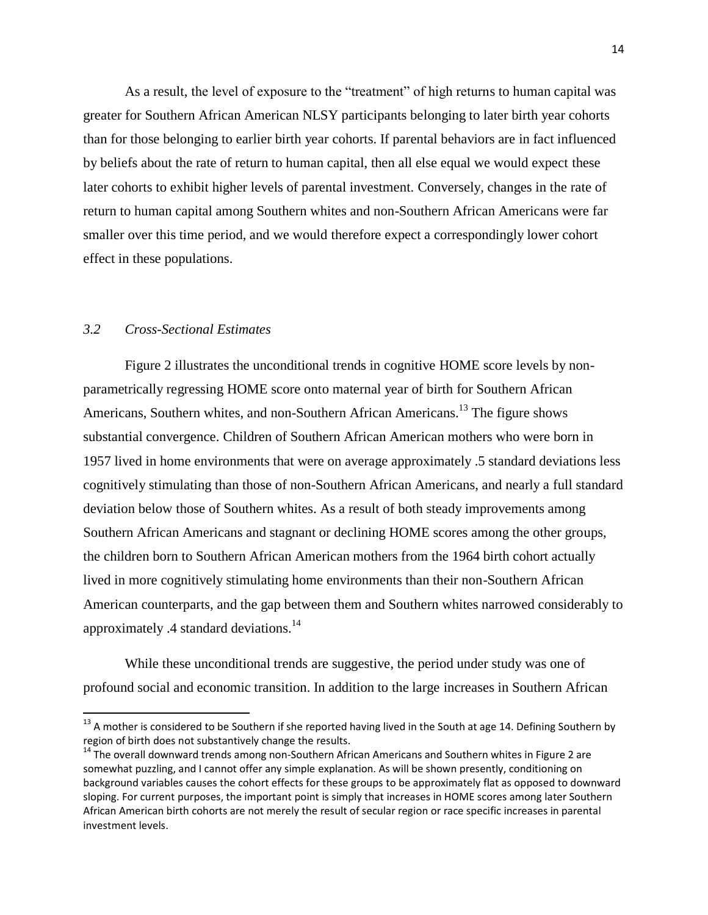As a result, the level of exposure to the "treatment" of high returns to human capital was greater for Southern African American NLSY participants belonging to later birth year cohorts than for those belonging to earlier birth year cohorts. If parental behaviors are in fact influenced by beliefs about the rate of return to human capital, then all else equal we would expect these later cohorts to exhibit higher levels of parental investment. Conversely, changes in the rate of return to human capital among Southern whites and non-Southern African Americans were far smaller over this time period, and we would therefore expect a correspondingly lower cohort effect in these populations.

#### *3.2 Cross-Sectional Estimates*

 $\overline{a}$ 

Figure 2 illustrates the unconditional trends in cognitive HOME score levels by nonparametrically regressing HOME score onto maternal year of birth for Southern African Americans, Southern whites, and non-Southern African Americans.<sup>13</sup> The figure shows substantial convergence. Children of Southern African American mothers who were born in 1957 lived in home environments that were on average approximately .5 standard deviations less cognitively stimulating than those of non-Southern African Americans, and nearly a full standard deviation below those of Southern whites. As a result of both steady improvements among Southern African Americans and stagnant or declining HOME scores among the other groups, the children born to Southern African American mothers from the 1964 birth cohort actually lived in more cognitively stimulating home environments than their non-Southern African American counterparts, and the gap between them and Southern whites narrowed considerably to approximately .4 standard deviations.<sup>14</sup>

While these unconditional trends are suggestive, the period under study was one of profound social and economic transition. In addition to the large increases in Southern African

 $^{13}$  A mother is considered to be Southern if she reported having lived in the South at age 14. Defining Southern by region of birth does not substantively change the results.

 $14$  The overall downward trends among non-Southern African Americans and Southern whites in Figure 2 are somewhat puzzling, and I cannot offer any simple explanation. As will be shown presently, conditioning on background variables causes the cohort effects for these groups to be approximately flat as opposed to downward sloping. For current purposes, the important point is simply that increases in HOME scores among later Southern African American birth cohorts are not merely the result of secular region or race specific increases in parental investment levels.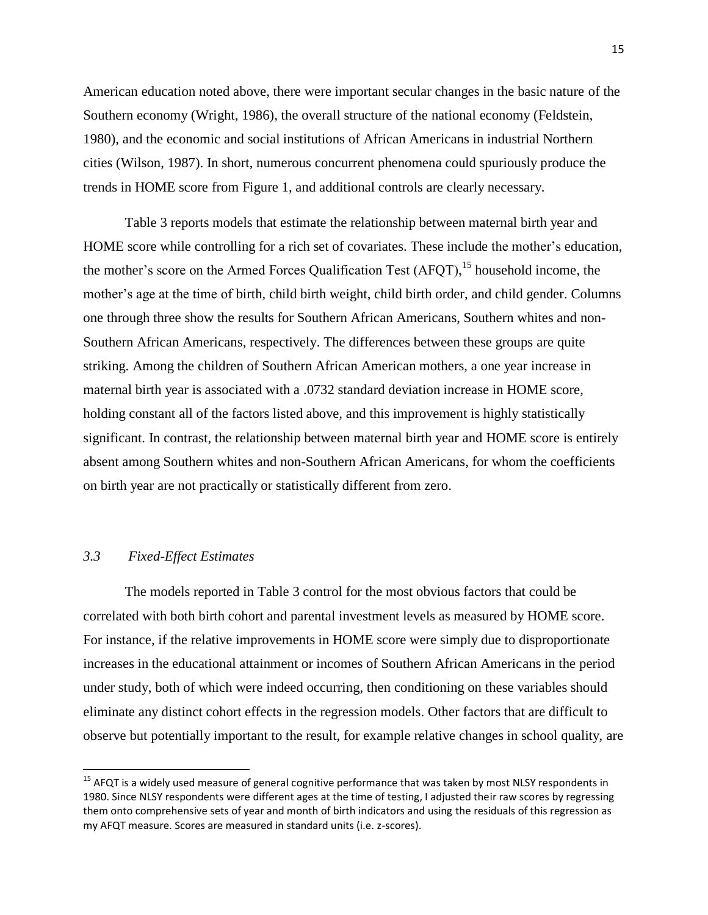American education noted above, there were important secular changes in the basic nature of the Southern economy (Wright, 1986), the overall structure of the national economy (Feldstein, 1980), and the economic and social institutions of African Americans in industrial Northern cities (Wilson, 1987). In short, numerous concurrent phenomena could spuriously produce the trends in HOME score from Figure 1, and additional controls are clearly necessary.

Table 3 reports models that estimate the relationship between maternal birth year and HOME score while controlling for a rich set of covariates. These include the mother's education, the mother's score on the Armed Forces Qualification Test  $(AFOT)$ , <sup>15</sup> household income, the mother's age at the time of birth, child birth weight, child birth order, and child gender. Columns one through three show the results for Southern African Americans, Southern whites and non-Southern African Americans, respectively. The differences between these groups are quite striking. Among the children of Southern African American mothers, a one year increase in maternal birth year is associated with a .0732 standard deviation increase in HOME score, holding constant all of the factors listed above, and this improvement is highly statistically significant. In contrast, the relationship between maternal birth year and HOME score is entirely absent among Southern whites and non-Southern African Americans, for whom the coefficients on birth year are not practically or statistically different from zero.

#### *3.3 Fixed-Effect Estimates*

 $\overline{a}$ 

The models reported in Table 3 control for the most obvious factors that could be correlated with both birth cohort and parental investment levels as measured by HOME score. For instance, if the relative improvements in HOME score were simply due to disproportionate increases in the educational attainment or incomes of Southern African Americans in the period under study, both of which were indeed occurring, then conditioning on these variables should eliminate any distinct cohort effects in the regression models. Other factors that are difficult to observe but potentially important to the result, for example relative changes in school quality, are

<sup>&</sup>lt;sup>15</sup> AFQT is a widely used measure of general cognitive performance that was taken by most NLSY respondents in 1980. Since NLSY respondents were different ages at the time of testing, I adjusted their raw scores by regressing them onto comprehensive sets of year and month of birth indicators and using the residuals of this regression as my AFQT measure. Scores are measured in standard units (i.e. z-scores).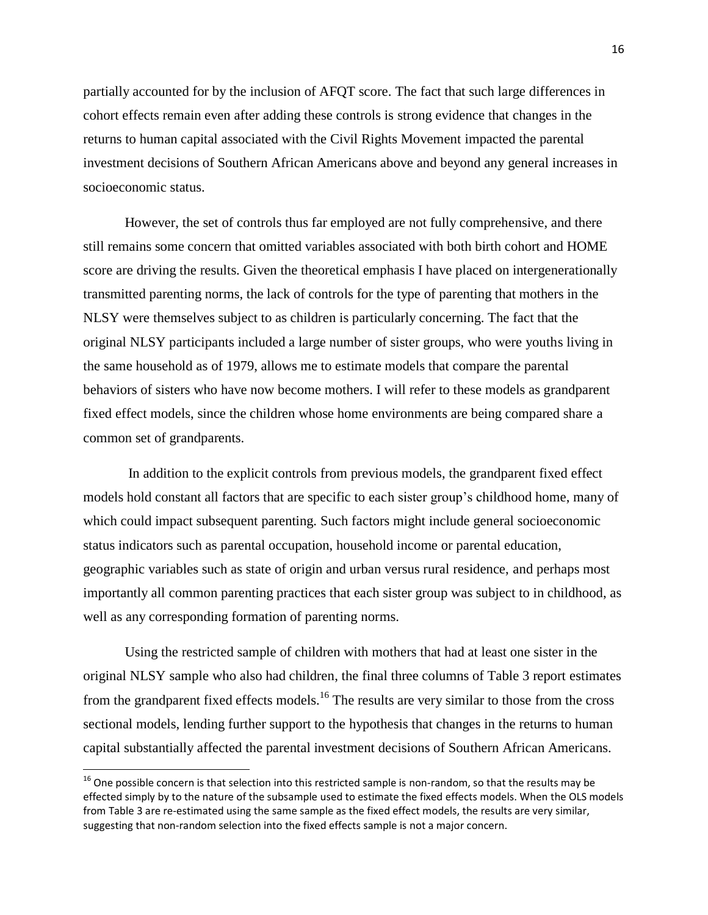partially accounted for by the inclusion of AFQT score. The fact that such large differences in cohort effects remain even after adding these controls is strong evidence that changes in the returns to human capital associated with the Civil Rights Movement impacted the parental investment decisions of Southern African Americans above and beyond any general increases in socioeconomic status.

However, the set of controls thus far employed are not fully comprehensive, and there still remains some concern that omitted variables associated with both birth cohort and HOME score are driving the results. Given the theoretical emphasis I have placed on intergenerationally transmitted parenting norms, the lack of controls for the type of parenting that mothers in the NLSY were themselves subject to as children is particularly concerning. The fact that the original NLSY participants included a large number of sister groups, who were youths living in the same household as of 1979, allows me to estimate models that compare the parental behaviors of sisters who have now become mothers. I will refer to these models as grandparent fixed effect models, since the children whose home environments are being compared share a common set of grandparents.

In addition to the explicit controls from previous models, the grandparent fixed effect models hold constant all factors that are specific to each sister group's childhood home, many of which could impact subsequent parenting. Such factors might include general socioeconomic status indicators such as parental occupation, household income or parental education, geographic variables such as state of origin and urban versus rural residence, and perhaps most importantly all common parenting practices that each sister group was subject to in childhood, as well as any corresponding formation of parenting norms.

Using the restricted sample of children with mothers that had at least one sister in the original NLSY sample who also had children, the final three columns of Table 3 report estimates from the grandparent fixed effects models.<sup>16</sup> The results are very similar to those from the cross sectional models, lending further support to the hypothesis that changes in the returns to human capital substantially affected the parental investment decisions of Southern African Americans.

 $\overline{a}$ 

 $^{16}$  One possible concern is that selection into this restricted sample is non-random, so that the results may be effected simply by to the nature of the subsample used to estimate the fixed effects models. When the OLS models from Table 3 are re-estimated using the same sample as the fixed effect models, the results are very similar, suggesting that non-random selection into the fixed effects sample is not a major concern.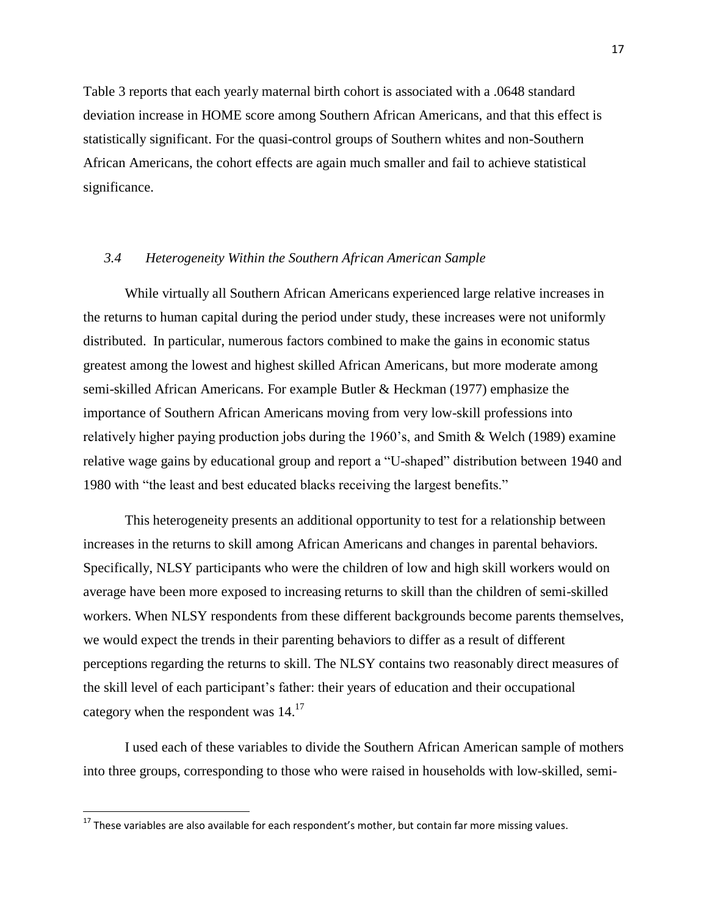Table 3 reports that each yearly maternal birth cohort is associated with a .0648 standard deviation increase in HOME score among Southern African Americans, and that this effect is statistically significant. For the quasi-control groups of Southern whites and non-Southern African Americans, the cohort effects are again much smaller and fail to achieve statistical significance.

#### *3.4 Heterogeneity Within the Southern African American Sample*

While virtually all Southern African Americans experienced large relative increases in the returns to human capital during the period under study, these increases were not uniformly distributed. In particular, numerous factors combined to make the gains in economic status greatest among the lowest and highest skilled African Americans, but more moderate among semi-skilled African Americans. For example Butler & Heckman (1977) emphasize the importance of Southern African Americans moving from very low-skill professions into relatively higher paying production jobs during the 1960's, and Smith & Welch (1989) examine relative wage gains by educational group and report a "U-shaped" distribution between 1940 and 1980 with "the least and best educated blacks receiving the largest benefits."

This heterogeneity presents an additional opportunity to test for a relationship between increases in the returns to skill among African Americans and changes in parental behaviors. Specifically, NLSY participants who were the children of low and high skill workers would on average have been more exposed to increasing returns to skill than the children of semi-skilled workers. When NLSY respondents from these different backgrounds become parents themselves, we would expect the trends in their parenting behaviors to differ as a result of different perceptions regarding the returns to skill. The NLSY contains two reasonably direct measures of the skill level of each participant's father: their years of education and their occupational category when the respondent was  $14.^{17}$ 

I used each of these variables to divide the Southern African American sample of mothers into three groups, corresponding to those who were raised in households with low-skilled, semi-

l

 $^{17}$  These variables are also available for each respondent's mother, but contain far more missing values.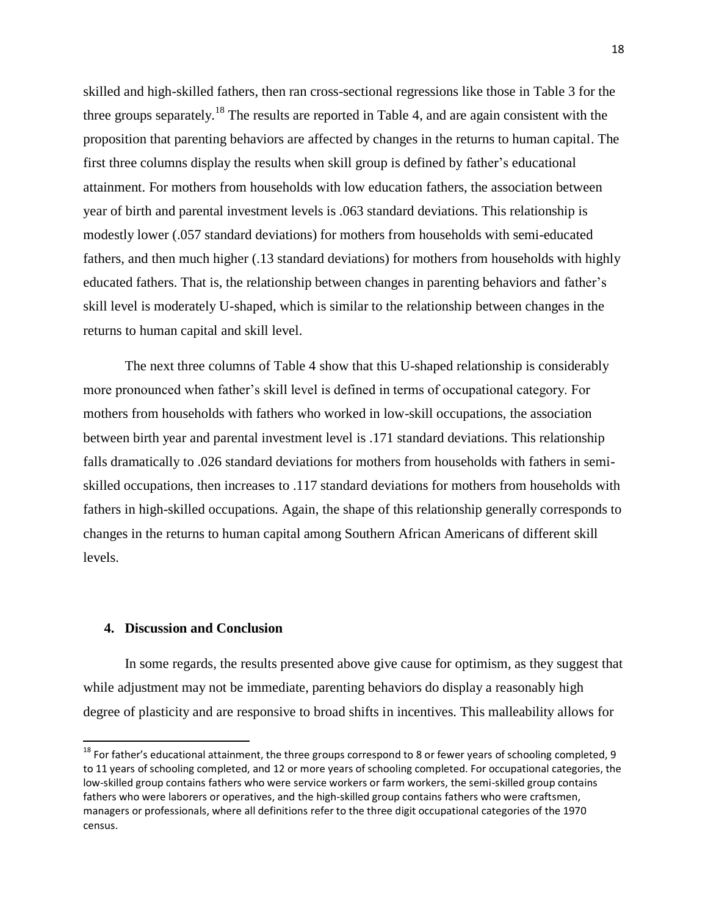skilled and high-skilled fathers, then ran cross-sectional regressions like those in Table 3 for the three groups separately.<sup>18</sup> The results are reported in Table 4, and are again consistent with the proposition that parenting behaviors are affected by changes in the returns to human capital. The first three columns display the results when skill group is defined by father's educational attainment. For mothers from households with low education fathers, the association between year of birth and parental investment levels is .063 standard deviations. This relationship is modestly lower (.057 standard deviations) for mothers from households with semi-educated fathers, and then much higher (.13 standard deviations) for mothers from households with highly educated fathers. That is, the relationship between changes in parenting behaviors and father's skill level is moderately U-shaped, which is similar to the relationship between changes in the returns to human capital and skill level.

The next three columns of Table 4 show that this U-shaped relationship is considerably more pronounced when father's skill level is defined in terms of occupational category. For mothers from households with fathers who worked in low-skill occupations, the association between birth year and parental investment level is .171 standard deviations. This relationship falls dramatically to .026 standard deviations for mothers from households with fathers in semiskilled occupations, then increases to .117 standard deviations for mothers from households with fathers in high-skilled occupations. Again, the shape of this relationship generally corresponds to changes in the returns to human capital among Southern African Americans of different skill levels.

#### **4. Discussion and Conclusion**

 $\overline{a}$ 

In some regards, the results presented above give cause for optimism, as they suggest that while adjustment may not be immediate, parenting behaviors do display a reasonably high degree of plasticity and are responsive to broad shifts in incentives. This malleability allows for

<sup>&</sup>lt;sup>18</sup> For father's educational attainment, the three groups correspond to 8 or fewer years of schooling completed, 9 to 11 years of schooling completed, and 12 or more years of schooling completed. For occupational categories, the low-skilled group contains fathers who were service workers or farm workers, the semi-skilled group contains fathers who were laborers or operatives, and the high-skilled group contains fathers who were craftsmen, managers or professionals, where all definitions refer to the three digit occupational categories of the 1970 census.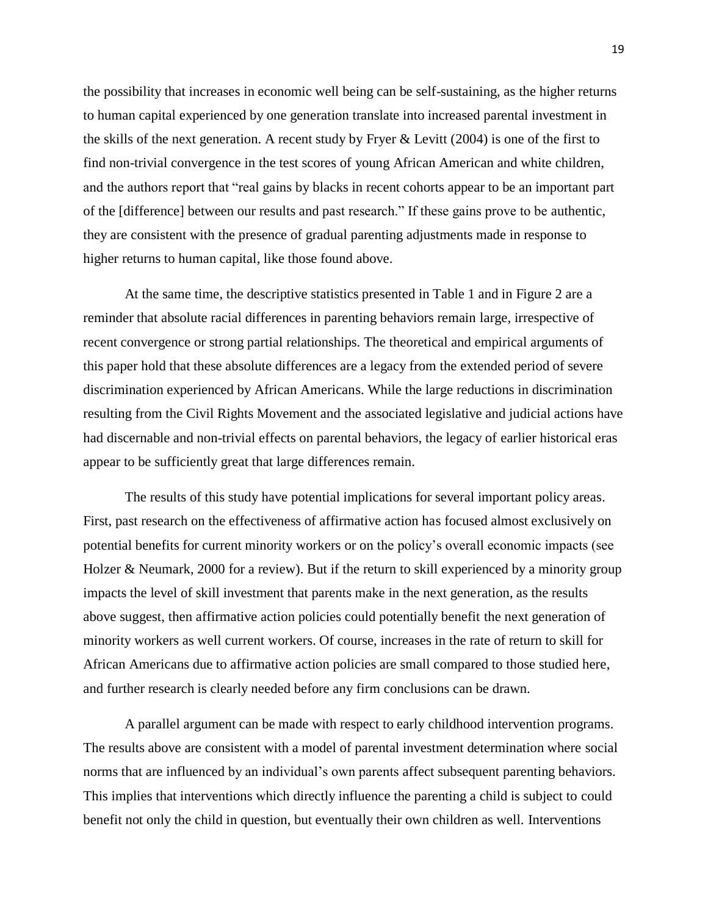the possibility that increases in economic well being can be self-sustaining, as the higher returns to human capital experienced by one generation translate into increased parental investment in the skills of the next generation. A recent study by Fryer & Levitt (2004) is one of the first to find non-trivial convergence in the test scores of young African American and white children, and the authors report that "real gains by blacks in recent cohorts appear to be an important part of the [difference] between our results and past research." If these gains prove to be authentic, they are consistent with the presence of gradual parenting adjustments made in response to higher returns to human capital, like those found above.

At the same time, the descriptive statistics presented in Table 1 and in Figure 2 are a reminder that absolute racial differences in parenting behaviors remain large, irrespective of recent convergence or strong partial relationships. The theoretical and empirical arguments of this paper hold that these absolute differences are a legacy from the extended period of severe discrimination experienced by African Americans. While the large reductions in discrimination resulting from the Civil Rights Movement and the associated legislative and judicial actions have had discernable and non-trivial effects on parental behaviors, the legacy of earlier historical eras appear to be sufficiently great that large differences remain.

The results of this study have potential implications for several important policy areas. First, past research on the effectiveness of affirmative action has focused almost exclusively on potential benefits for current minority workers or on the policy's overall economic impacts (see Holzer & Neumark, 2000 for a review). But if the return to skill experienced by a minority group impacts the level of skill investment that parents make in the next generation, as the results above suggest, then affirmative action policies could potentially benefit the next generation of minority workers as well current workers. Of course, increases in the rate of return to skill for African Americans due to affirmative action policies are small compared to those studied here, and further research is clearly needed before any firm conclusions can be drawn.

A parallel argument can be made with respect to early childhood intervention programs. The results above are consistent with a model of parental investment determination where social norms that are influenced by an individual's own parents affect subsequent parenting behaviors. This implies that interventions which directly influence the parenting a child is subject to could benefit not only the child in question, but eventually their own children as well. Interventions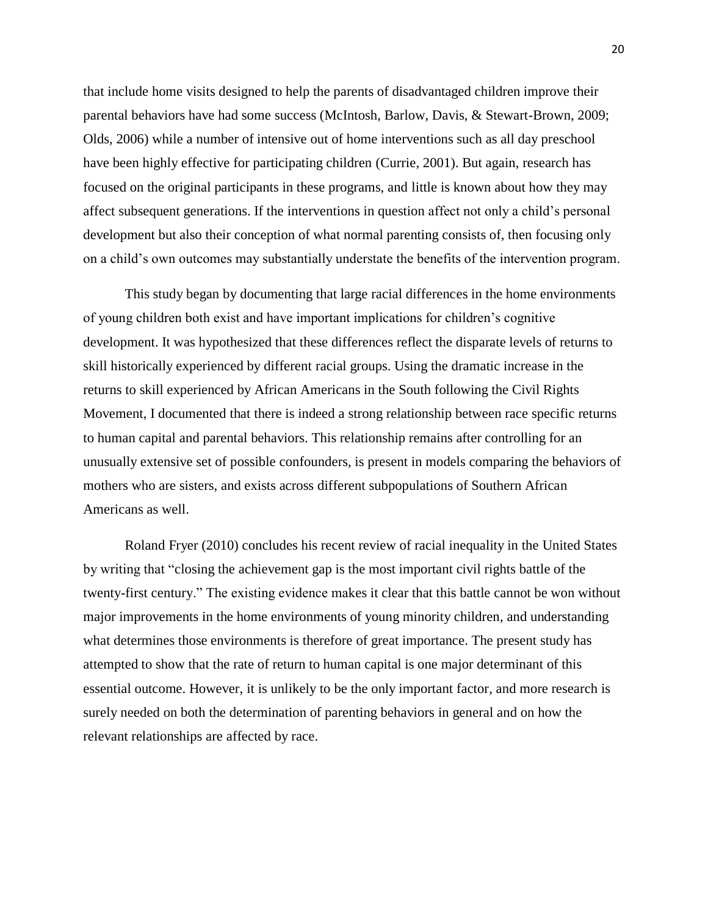that include home visits designed to help the parents of disadvantaged children improve their parental behaviors have had some success (McIntosh, Barlow, Davis, & Stewart-Brown, 2009; Olds, 2006) while a number of intensive out of home interventions such as all day preschool have been highly effective for participating children (Currie, 2001). But again, research has focused on the original participants in these programs, and little is known about how they may affect subsequent generations. If the interventions in question affect not only a child's personal development but also their conception of what normal parenting consists of, then focusing only on a child's own outcomes may substantially understate the benefits of the intervention program.

This study began by documenting that large racial differences in the home environments of young children both exist and have important implications for children's cognitive development. It was hypothesized that these differences reflect the disparate levels of returns to skill historically experienced by different racial groups. Using the dramatic increase in the returns to skill experienced by African Americans in the South following the Civil Rights Movement, I documented that there is indeed a strong relationship between race specific returns to human capital and parental behaviors. This relationship remains after controlling for an unusually extensive set of possible confounders, is present in models comparing the behaviors of mothers who are sisters, and exists across different subpopulations of Southern African Americans as well.

Roland Fryer (2010) concludes his recent review of racial inequality in the United States by writing that "closing the achievement gap is the most important civil rights battle of the twenty-first century." The existing evidence makes it clear that this battle cannot be won without major improvements in the home environments of young minority children, and understanding what determines those environments is therefore of great importance. The present study has attempted to show that the rate of return to human capital is one major determinant of this essential outcome. However, it is unlikely to be the only important factor, and more research is surely needed on both the determination of parenting behaviors in general and on how the relevant relationships are affected by race.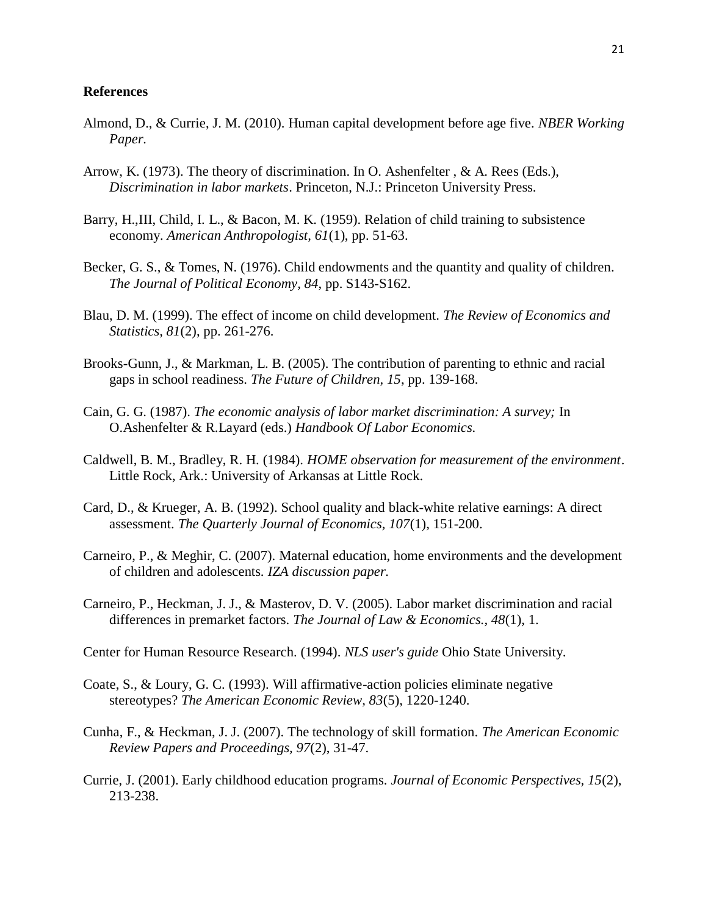#### **References**

- Almond, D., & Currie, J. M. (2010). Human capital development before age five*. NBER Working Paper.*
- Arrow, K. (1973). The theory of discrimination. In O. Ashenfelter , & A. Rees (Eds.), *Discrimination in labor markets*. Princeton, N.J.: Princeton University Press.
- Barry, H.,III, Child, I. L., & Bacon, M. K. (1959). Relation of child training to subsistence economy. *American Anthropologist, 61*(1), pp. 51-63.
- Becker, G. S., & Tomes, N. (1976). Child endowments and the quantity and quality of children. *The Journal of Political Economy, 84*, pp. S143-S162.
- Blau, D. M. (1999). The effect of income on child development. *The Review of Economics and Statistics, 81*(2), pp. 261-276.
- Brooks-Gunn, J., & Markman, L. B. (2005). The contribution of parenting to ethnic and racial gaps in school readiness. *The Future of Children, 15*, pp. 139-168.
- Cain, G. G. (1987). *The economic analysis of labor market discrimination: A survey;* In O.Ashenfelter & R.Layard (eds.) *Handbook Of Labor Economics.*
- Caldwell, B. M., Bradley, R. H. (1984). *HOME observation for measurement of the environment*. Little Rock, Ark.: University of Arkansas at Little Rock.
- Card, D., & Krueger, A. B. (1992). School quality and black-white relative earnings: A direct assessment. *The Quarterly Journal of Economics, 107*(1), 151-200.
- Carneiro, P., & Meghir, C. (2007). Maternal education, home environments and the development of children and adolescents. *IZA discussion paper.*
- Carneiro, P., Heckman, J. J., & Masterov, D. V. (2005). Labor market discrimination and racial differences in premarket factors. *The Journal of Law & Economics., 48*(1), 1.
- Center for Human Resource Research. (1994). *NLS user's guide* Ohio State University.
- Coate, S., & Loury, G. C. (1993). Will affirmative-action policies eliminate negative stereotypes? *The American Economic Review, 83*(5), 1220-1240.
- Cunha, F., & Heckman, J. J. (2007). The technology of skill formation. *The American Economic Review Papers and Proceedings, 97*(2), 31-47.
- Currie, J. (2001). Early childhood education programs. *Journal of Economic Perspectives, 15*(2), 213-238.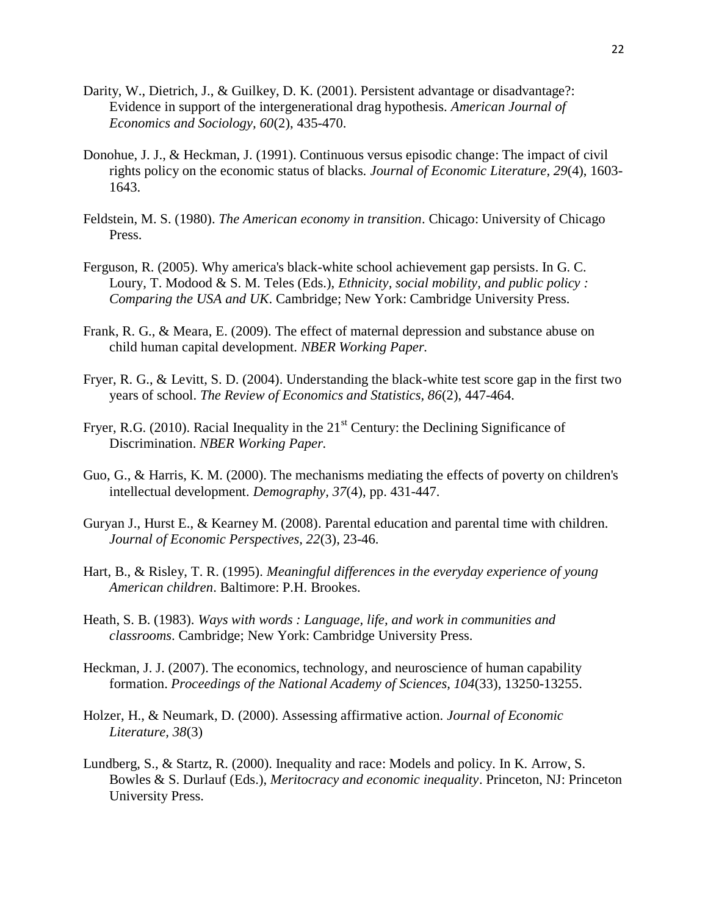- Darity, W., Dietrich, J., & Guilkey, D. K. (2001). Persistent advantage or disadvantage?: Evidence in support of the intergenerational drag hypothesis. *American Journal of Economics and Sociology, 60*(2), 435-470.
- Donohue, J. J., & Heckman, J. (1991). Continuous versus episodic change: The impact of civil rights policy on the economic status of blacks. *Journal of Economic Literature, 29*(4), 1603- 1643.
- Feldstein, M. S. (1980). *The American economy in transition*. Chicago: University of Chicago Press.
- Ferguson, R. (2005). Why america's black-white school achievement gap persists. In G. C. Loury, T. Modood & S. M. Teles (Eds.), *Ethnicity, social mobility, and public policy : Comparing the USA and UK*. Cambridge; New York: Cambridge University Press.
- Frank, R. G., & Meara, E. (2009). The effect of maternal depression and substance abuse on child human capital development. *NBER Working Paper.*
- Fryer, R. G., & Levitt, S. D. (2004). Understanding the black-white test score gap in the first two years of school. *The Review of Economics and Statistics, 86*(2), 447-464.
- Fryer, R.G. (2010). Racial Inequality in the  $21<sup>st</sup>$  Century: the Declining Significance of Discrimination. *NBER Working Paper.*
- Guo, G., & Harris, K. M. (2000). The mechanisms mediating the effects of poverty on children's intellectual development. *Demography, 37*(4), pp. 431-447.
- Guryan J., Hurst E., & Kearney M. (2008). Parental education and parental time with children. *Journal of Economic Perspectives, 22*(3), 23-46.
- Hart, B., & Risley, T. R. (1995). *Meaningful differences in the everyday experience of young American children*. Baltimore: P.H. Brookes.
- Heath, S. B. (1983). *Ways with words : Language, life, and work in communities and classrooms*. Cambridge; New York: Cambridge University Press.
- Heckman, J. J. (2007). The economics, technology, and neuroscience of human capability formation. *Proceedings of the National Academy of Sciences, 104*(33), 13250-13255.
- Holzer, H., & Neumark, D. (2000). Assessing affirmative action. *Journal of Economic Literature, 38*(3)
- Lundberg, S., & Startz, R. (2000). Inequality and race: Models and policy. In K. Arrow, S. Bowles & S. Durlauf (Eds.), *Meritocracy and economic inequality*. Princeton, NJ: Princeton University Press.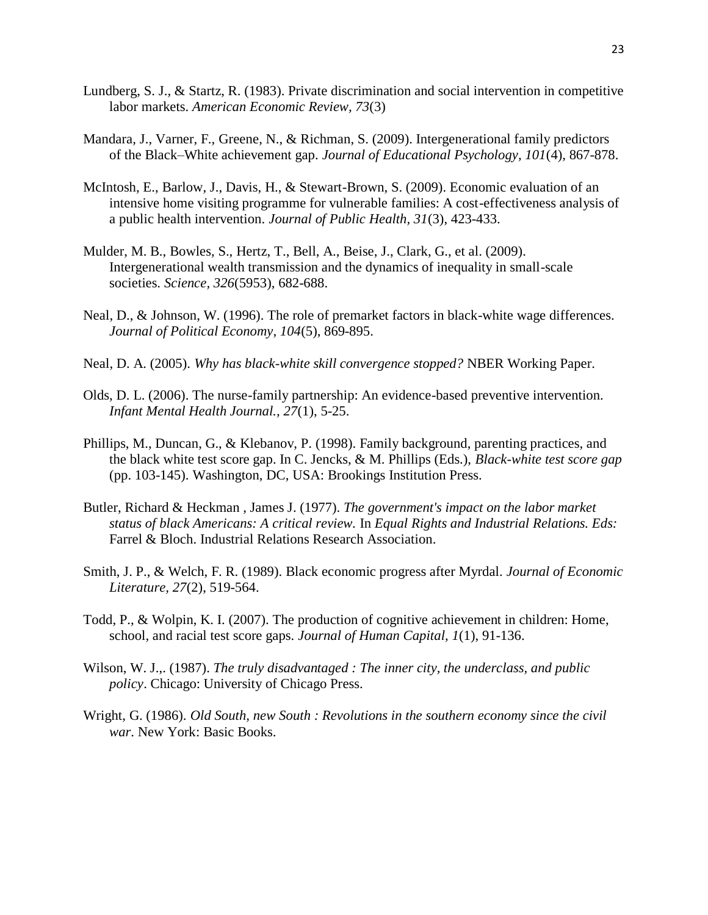- Lundberg, S. J., & Startz, R. (1983). Private discrimination and social intervention in competitive labor markets. *American Economic Review, 73*(3)
- Mandara, J., Varner, F., Greene, N., & Richman, S. (2009). Intergenerational family predictors of the Black–White achievement gap. *Journal of Educational Psychology, 101*(4), 867-878.
- McIntosh, E., Barlow, J., Davis, H., & Stewart-Brown, S. (2009). Economic evaluation of an intensive home visiting programme for vulnerable families: A cost-effectiveness analysis of a public health intervention. *Journal of Public Health, 31*(3), 423-433.
- Mulder, M. B., Bowles, S., Hertz, T., Bell, A., Beise, J., Clark, G., et al. (2009). Intergenerational wealth transmission and the dynamics of inequality in small-scale societies. *Science, 326*(5953), 682-688.
- Neal, D., & Johnson, W. (1996). The role of premarket factors in black-white wage differences. *Journal of Political Economy, 104*(5), 869-895.
- Neal, D. A. (2005). *Why has black-white skill convergence stopped?* NBER Working Paper.
- Olds, D. L. (2006). The nurse-family partnership: An evidence-based preventive intervention. *Infant Mental Health Journal., 27*(1), 5-25.
- Phillips, M., Duncan, G., & Klebanov, P. (1998). Family background, parenting practices, and the black white test score gap. In C. Jencks, & M. Phillips (Eds.), *Black-white test score gap* (pp. 103-145). Washington, DC, USA: Brookings Institution Press.
- Butler, Richard & Heckman , James J. (1977). *The government's impact on the labor market status of black Americans: A critical review.* In *Equal Rights and Industrial Relations. Eds:*  Farrel & Bloch. Industrial Relations Research Association.
- Smith, J. P., & Welch, F. R. (1989). Black economic progress after Myrdal. *Journal of Economic Literature, 27*(2), 519-564.
- Todd, P., & Wolpin, K. I. (2007). The production of cognitive achievement in children: Home, school, and racial test score gaps. *Journal of Human Capital, 1*(1), 91-136.
- Wilson, W. J.,. (1987). *The truly disadvantaged : The inner city, the underclass, and public policy*. Chicago: University of Chicago Press.
- Wright, G. (1986). *Old South, new South : Revolutions in the southern economy since the civil war*. New York: Basic Books.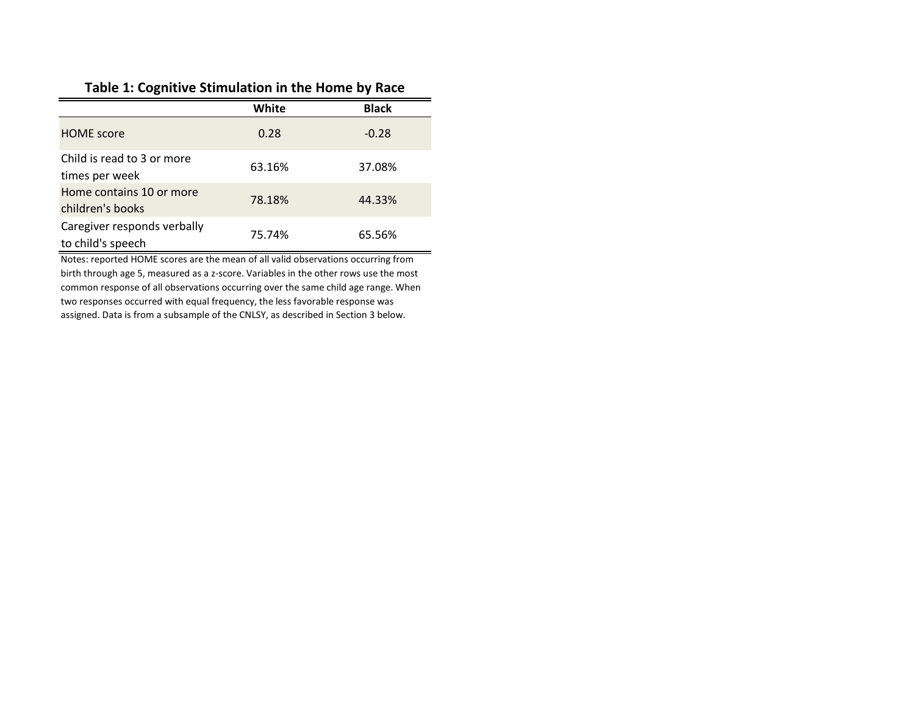#### **Table 1: Cognitive Stimulation in the Home by Race**

|                                                  | White  | <b>Black</b> |
|--------------------------------------------------|--------|--------------|
| <b>HOME</b> score                                | 0.28   | $-0.28$      |
| Child is read to 3 or more<br>times per week     | 63.16% | 37.08%       |
| Home contains 10 or more<br>children's books     | 78.18% | 44.33%       |
| Caregiver responds verbally<br>to child's speech | 75.74% | 65.56%       |

Notes: reported HOME scores are the mean of all valid observations occurring from birth through age 5, measured as a z-score. Variables in the other rows use the most common response of all observations occurring over the same child age range. When two responses occurred with equal frequency, the less favorable response was assigned. Data is from a subsample of the CNLSY, as described in Section 3 below.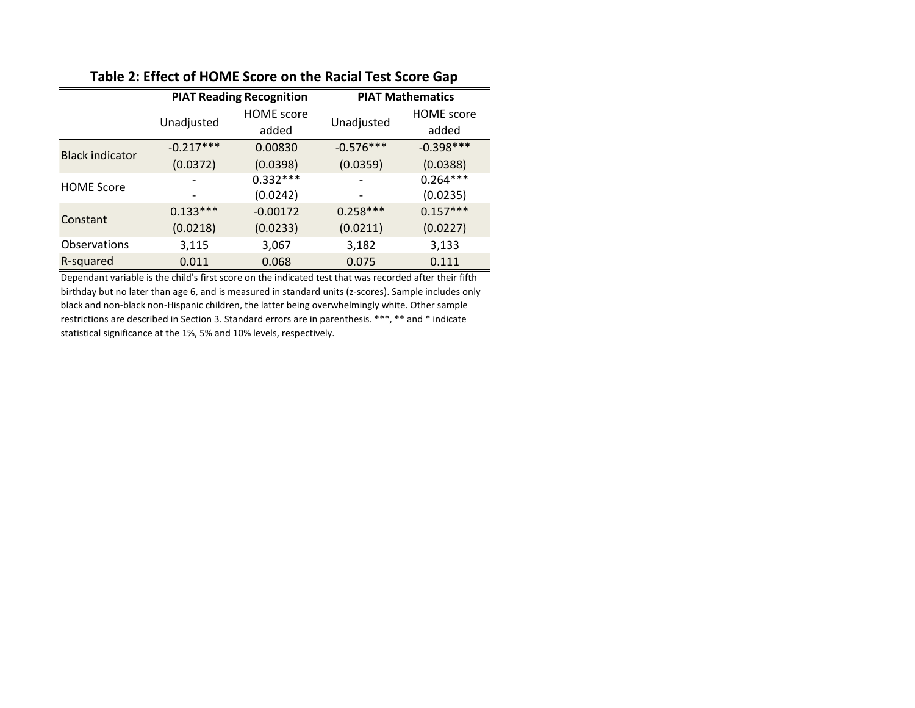|                        |             | <b>PIAT Reading Recognition</b> | <b>PIAT Mathematics</b> |                   |  |
|------------------------|-------------|---------------------------------|-------------------------|-------------------|--|
|                        | Unadjusted  | <b>HOME</b> score               |                         | <b>HOME</b> score |  |
|                        |             | added                           | Unadjusted              | added             |  |
| <b>Black indicator</b> | $-0.217***$ | 0.00830                         | $-0.576***$             | $-0.398***$       |  |
|                        | (0.0372)    | (0.0398)                        | (0.0359)                | (0.0388)          |  |
| <b>HOME Score</b>      |             | $0.332***$                      |                         | $0.264***$        |  |
|                        |             | (0.0242)                        |                         | (0.0235)          |  |
| Constant               | $0.133***$  | $-0.00172$                      | $0.258***$              | $0.157***$        |  |
|                        | (0.0218)    | (0.0233)                        | (0.0211)                | (0.0227)          |  |
| <b>Observations</b>    | 3,115       | 3,067                           | 3,182                   | 3,133             |  |
| R-squared              | 0.011       | 0.068                           | 0.075                   | 0.111             |  |

#### **Table 2: Effect of HOME Score on the Racial Test Score Gap**

Dependant variable is the child's first score on the indicated test that was recorded after their fifth birthday but no later than age 6, and is measured in standard units (z-scores). Sample includes only black and non-black non-Hispanic children, the latter being overwhelmingly white. Other sample restrictions are described in Section 3. Standard errors are in parenthesis. \*\*\*, \*\* and \* indicate statistical significance at the 1%, 5% and 10% levels, respectively.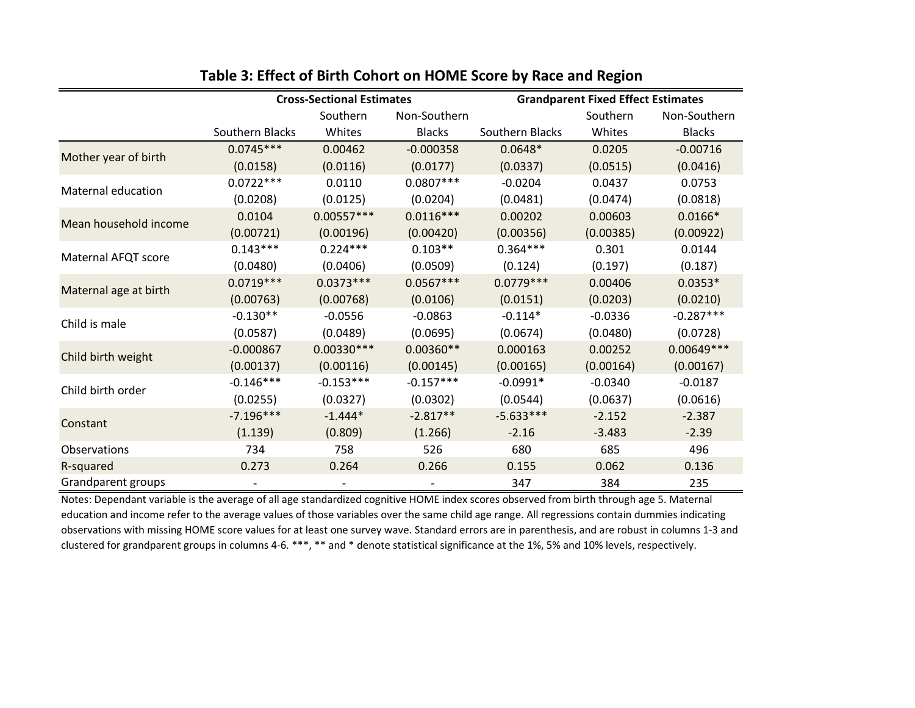|                       | <b>Cross-Sectional Estimates</b> |                          |               | <b>Grandparent Fixed Effect Estimates</b> |           |               |  |
|-----------------------|----------------------------------|--------------------------|---------------|-------------------------------------------|-----------|---------------|--|
|                       |                                  | Southern                 | Non-Southern  |                                           | Southern  | Non-Southern  |  |
|                       | Southern Blacks                  | Whites                   | <b>Blacks</b> | Southern Blacks                           | Whites    | <b>Blacks</b> |  |
| Mother year of birth  | $0.0745***$                      | 0.00462                  | $-0.000358$   | $0.0648*$                                 | 0.0205    | $-0.00716$    |  |
|                       | (0.0158)                         | (0.0116)                 | (0.0177)      | (0.0337)                                  | (0.0515)  | (0.0416)      |  |
| Maternal education    | $0.0722***$                      | 0.0110                   | $0.0807***$   | $-0.0204$                                 | 0.0437    | 0.0753        |  |
|                       | (0.0208)                         | (0.0125)                 | (0.0204)      | (0.0481)                                  | (0.0474)  | (0.0818)      |  |
| Mean household income | 0.0104                           | $0.00557***$             | $0.0116***$   | 0.00202                                   | 0.00603   | $0.0166*$     |  |
|                       | (0.00721)                        | (0.00196)                | (0.00420)     | (0.00356)                                 | (0.00385) | (0.00922)     |  |
| Maternal AFQT score   | $0.143***$                       | $0.224***$               | $0.103**$     | $0.364***$                                | 0.301     | 0.0144        |  |
|                       | (0.0480)                         | (0.0406)                 | (0.0509)      | (0.124)                                   | (0.197)   | (0.187)       |  |
| Maternal age at birth | $0.0719***$                      | $0.0373***$              | $0.0567***$   | $0.0779***$                               | 0.00406   | $0.0353*$     |  |
|                       | (0.00763)                        | (0.00768)                | (0.0106)      | (0.0151)                                  | (0.0203)  | (0.0210)      |  |
| Child is male         | $-0.130**$                       | $-0.0556$                | $-0.0863$     | $-0.114*$                                 | $-0.0336$ | $-0.287***$   |  |
|                       | (0.0587)                         | (0.0489)                 | (0.0695)      | (0.0674)                                  | (0.0480)  | (0.0728)      |  |
| Child birth weight    | $-0.000867$                      | $0.00330***$             | $0.00360**$   | 0.000163                                  | 0.00252   | $0.00649***$  |  |
|                       | (0.00137)                        | (0.00116)                | (0.00145)     | (0.00165)                                 | (0.00164) | (0.00167)     |  |
| Child birth order     | $-0.146***$                      | $-0.153***$              | $-0.157***$   | $-0.0991*$                                | $-0.0340$ | $-0.0187$     |  |
|                       | (0.0255)                         | (0.0327)                 | (0.0302)      | (0.0544)                                  | (0.0637)  | (0.0616)      |  |
| Constant              | $-7.196***$                      | $-1.444*$                | $-2.817**$    | $-5.633***$                               | $-2.152$  | $-2.387$      |  |
|                       | (1.139)                          | (0.809)                  | (1.266)       | $-2.16$                                   | $-3.483$  | $-2.39$       |  |
| Observations          | 734                              | 758                      | 526           | 680                                       | 685       | 496           |  |
| R-squared             | 0.273                            | 0.264                    | 0.266         | 0.155                                     | 0.062     | 0.136         |  |
| Grandparent groups    | $\overline{\phantom{a}}$         | $\overline{\phantom{a}}$ |               | 347                                       | 384       | 235           |  |

#### **Table 3: Effect of Birth Cohort on HOME Score by Race and Region**

Notes: Dependant variable is the average of all age standardized cognitive HOME index scores observed from birth through age 5. Maternal education and income refer to the average values of those variables over the same child age range. All regressions contain dummies indicating observations with missing HOME score values for at least one survey wave. Standard errors are in parenthesis, and are robust in columns 1-3 and clustered for grandparent groups in columns 4-6. \*\*\*, \*\* and \* denote statistical significance at the 1%, 5% and 10% levels, respectively.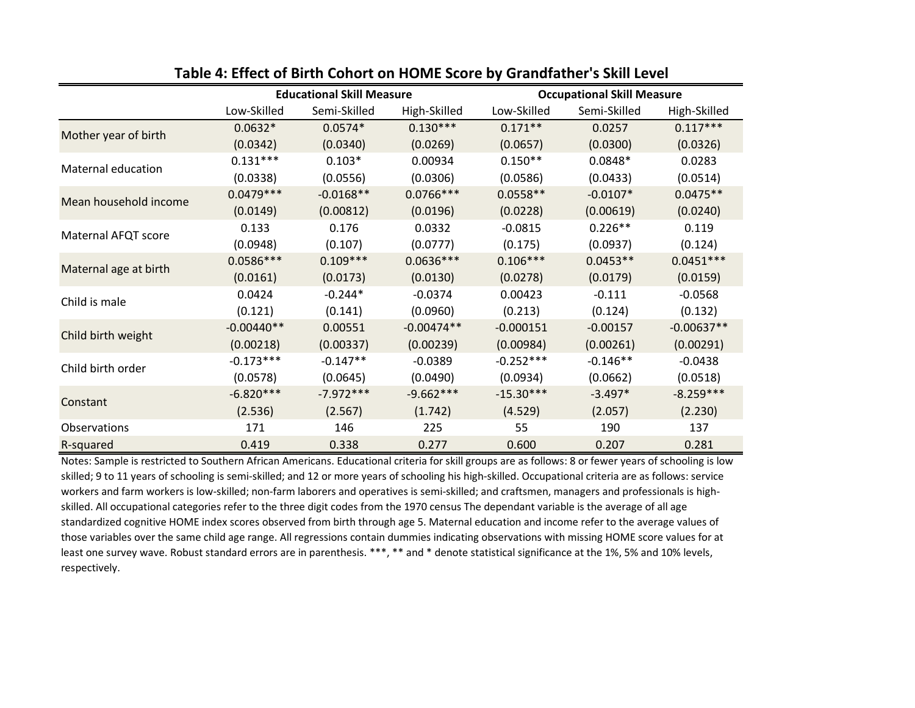|                       | <b>Educational Skill Measure</b> |              |              | <b>Occupational Skill Measure</b> |              |              |
|-----------------------|----------------------------------|--------------|--------------|-----------------------------------|--------------|--------------|
|                       | Low-Skilled                      | Semi-Skilled | High-Skilled | Low-Skilled                       | Semi-Skilled | High-Skilled |
| Mother year of birth  | $0.0632*$                        | $0.0574*$    | $0.130***$   | $0.171**$                         | 0.0257       | $0.117***$   |
|                       | (0.0342)                         | (0.0340)     | (0.0269)     | (0.0657)                          | (0.0300)     | (0.0326)     |
| Maternal education    | $0.131***$                       | $0.103*$     | 0.00934      | $0.150**$                         | $0.0848*$    | 0.0283       |
|                       | (0.0338)                         | (0.0556)     | (0.0306)     | (0.0586)                          | (0.0433)     | (0.0514)     |
| Mean household income | $0.0479***$                      | $-0.0168**$  | $0.0766***$  | $0.0558**$                        | $-0.0107*$   | $0.0475**$   |
|                       | (0.0149)                         | (0.00812)    | (0.0196)     | (0.0228)                          | (0.00619)    | (0.0240)     |
| Maternal AFQT score   | 0.133                            | 0.176        | 0.0332       | $-0.0815$                         | $0.226**$    | 0.119        |
|                       | (0.0948)                         | (0.107)      | (0.0777)     | (0.175)                           | (0.0937)     | (0.124)      |
|                       | $0.0586***$                      | $0.109***$   | $0.0636***$  | $0.106***$                        | $0.0453**$   | $0.0451***$  |
| Maternal age at birth | (0.0161)                         | (0.0173)     | (0.0130)     | (0.0278)                          | (0.0179)     | (0.0159)     |
| Child is male         | 0.0424                           | $-0.244*$    | $-0.0374$    | 0.00423                           | $-0.111$     | $-0.0568$    |
|                       | (0.121)                          | (0.141)      | (0.0960)     | (0.213)                           | (0.124)      | (0.132)      |
| Child birth weight    | $-0.00440**$                     | 0.00551      | $-0.00474**$ | $-0.000151$                       | $-0.00157$   | $-0.00637**$ |
|                       | (0.00218)                        | (0.00337)    | (0.00239)    | (0.00984)                         | (0.00261)    | (0.00291)    |
| Child birth order     | $-0.173***$                      | $-0.147**$   | $-0.0389$    | $-0.252***$                       | $-0.146**$   | $-0.0438$    |
|                       | (0.0578)                         | (0.0645)     | (0.0490)     | (0.0934)                          | (0.0662)     | (0.0518)     |
| Constant              | $-6.820***$                      | $-7.972***$  | $-9.662***$  | $-15.30***$                       | $-3.497*$    | $-8.259***$  |
|                       | (2.536)                          | (2.567)      | (1.742)      | (4.529)                           | (2.057)      | (2.230)      |
| <b>Observations</b>   | 171                              | 146          | 225          | 55                                | 190          | 137          |
| R-squared             | 0.419                            | 0.338        | 0.277        | 0.600                             | 0.207        | 0.281        |

#### **Table 4: Effect of Birth Cohort on HOME Score by Grandfather's Skill Level**

Notes: Sample is restricted to Southern African Americans. Educational criteria for skill groups are as follows: 8 or fewer years of schooling is low skilled; 9 to 11 years of schooling is semi-skilled; and 12 or more years of schooling his high-skilled. Occupational criteria are as follows: service workers and farm workers is low-skilled; non-farm laborers and operatives is semi-skilled; and craftsmen, managers and professionals is highskilled. All occupational categories refer to the three digit codes from the 1970 census The dependant variable is the average of all age standardized cognitive HOME index scores observed from birth through age 5. Maternal education and income refer to the average values of those variables over the same child age range. All regressions contain dummies indicating observations with missing HOME score values for at least one survey wave. Robust standard errors are in parenthesis. \*\*\*, \*\* and \* denote statistical significance at the 1%, 5% and 10% levels, respectively.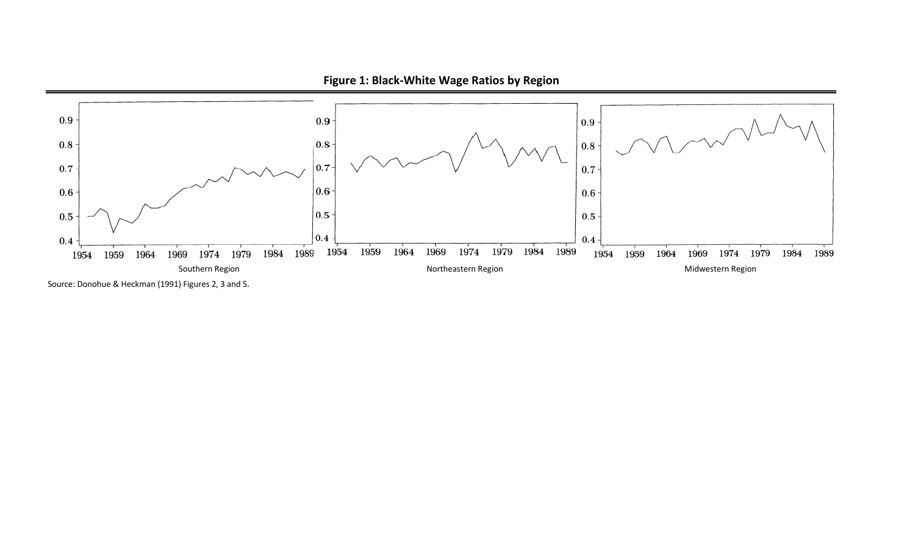

**Figure 1: Black-White Wage Ratios by Region**